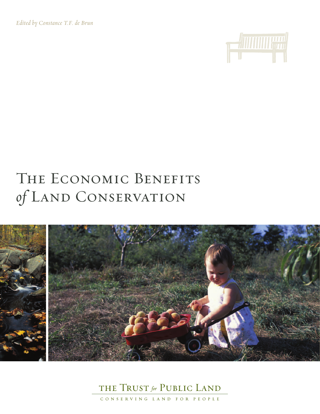*Edited by Constance T.F. de Brun*



# THE ECONOMIC BENEFITS of LAND CONSERVATION





CONSERVING LAND FOR PEOPLE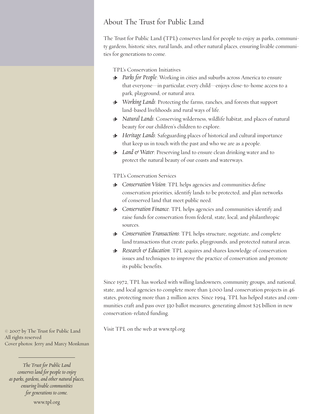## About The Trust for Public Land

The Trust for Public Land (TPL) conserves land for people to enjoy as parks, community gardens, historic sites, rural lands, and other natural places, ensuring livable communities for generations to come.

TPL's Conservation Initiatives

- > *Parks for People*: Working in cities and suburbs across America to ensure that everyone—in particular, every child—enjoys close-to-home access to a park, playground, or natural area.
- > *Working Lands*: Protecting the farms, ranches, and forests that support land-based livelihoods and rural ways of life.
- > *Natural Lands*: Conserving wilderness, wildlife habitat, and places of natural beauty for our children's children to explore.
- > *Heritage Lands*: Safeguarding places of historical and cultural importance that keep us in touch with the past and who we are as a people.
- > *Land & Water*: Preserving land to ensure clean drinking water and to protect the natural beauty of our coasts and waterways.

TPL's Conservation Services

- > *Conservation Vision*: TPL helps agencies and communities define conservation priorities, identify lands to be protected, and plan networks of conserved land that meet public need.
- > *Conservation Finance*: TPL helps agencies and communities identify and raise funds for conservation from federal, state, local, and philanthropic sources.
- > *Conservation Transactions*: TPL helps structure, negotiate, and complete land transactions that create parks, playgrounds, and protected natural areas.
- > *Research & Education*: TPL acquires and shares knowledge of conservation issues and techniques to improve the practice of conservation and promote its public benefits.

Since 1972, TPL has worked with willing landowners, community groups, and national, state, and local agencies to complete more than 3,000 land conservation projects in 46 states, protecting more than 2 million acres. Since 1994, TPL has helped states and communities craft and pass over 330 ballot measures, generating almost \$25 billion in new conservation-related funding.

Visit TPL on the web at www.tpl.org

© 2007 by The Trust for Public Land All rights reserved Cover photos: Jerry and Marcy Monkman

*The Trust for Public Land conserves land for people to enjoy asparks, gardens, and other naturalplaces, ensuring livable communities for generations to come.*

www.tpl.org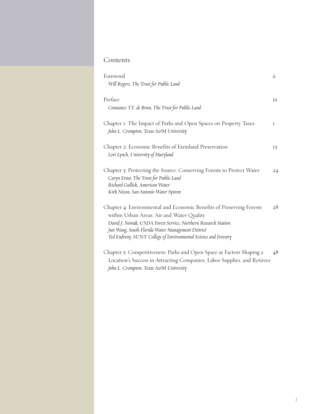## Contents

| Foreword<br>Will Rogers, The Trust for Public Land                                                                                                                                                                                                                                                          | $\overline{11}$  |
|-------------------------------------------------------------------------------------------------------------------------------------------------------------------------------------------------------------------------------------------------------------------------------------------------------------|------------------|
| Preface<br>Constance T.F. de Brun, The Trust for Public Land                                                                                                                                                                                                                                                | $\overline{111}$ |
| Chapter I: The Impact of Parks and Open Spaces on Property Taxes<br>John L. Crompton, Texas A&M University                                                                                                                                                                                                  | I                |
| Chapter 2: Economic Benefits of Farmland Preservation<br>Lori Lynch, University of Maryland                                                                                                                                                                                                                 | 13               |
| Chapter 3: Protecting the Source: Conserving Forests to Protect Water<br>Caryn Ernst, The Trust for Public Land<br>Richard Gullick, American Water<br>Kirk Nixon, San Antonio Water System                                                                                                                  | 24               |
| Chapter 4: Environmental and Economic Benefits of Preserving Forests<br>within Urban Areas: Air and Water Quality<br>David J. Nowak, USDA Forest Service, Northern Research Station<br>Jun Wang, South Florida Water Management District<br>Ted Endreny, SUNY College of Environmental Science and Forestry | 28               |
| Chapter 5: Competitiveness: Parks and Open Space as Factors Shaping a<br>Location's Success in Attracting Companies, Labor Supplies, and Retirees<br>John L. Crompton, Texas AerM University                                                                                                                | 48               |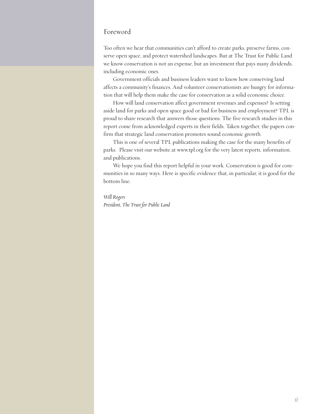### Foreword

Too often we hear that communities can't afford to create parks, preserve farms, conserve open space, and protect watershed landscapes. But at The Trust for Public Land we know conservation is not an expense, but an investment that pays many dividends, including economic ones.

Government officials and business leaders want to know how conserving land affects a community's finances. And volunteer conservationists are hungry for information that will help them make the case for conservation as a solid economic choice.

How will land conservation affect government revenues and expenses? Is setting aside land for parks and open space good or bad for business and employment? TPL is proud to share research that answers those questions. The five research studies in this report come from acknowledged experts in their fields. Taken together, the papers confirm that strategic land conservation promotes sound economic growth.

This is one of several TPL publications making the case for the many benefits of parks. Please visit our website at www.tpl.org for the very latest reports, information, and publications.

We hope you find this report helpful in your work. Conservation is good for communities in so many ways. Here is specific evidence that, in particular, it is good for the bottom line.

*Will Rogers President, The Trust for Public Land*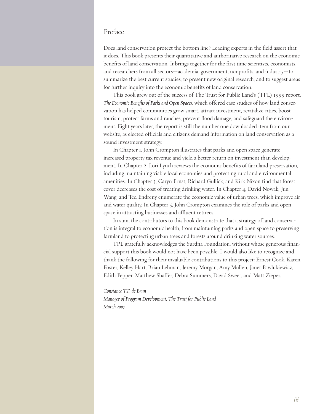## Preface

Does land conservation protect the bottom line? Leading experts in the field assert that it does. This book presents their quantitative and authoritative research on the economic benefits of land conservation. It brings together for the first time scientists, economists, and researchers from all sectors—academia, government, nonprofits, and industry—to summarize the best current studies, to present new original research, and to suggest areas for further inquiry into the economic benefits of land conservation.

This book grew out of the success of The Trust for Public Land's (TPL) 1999 report, *The Economic Benefits of Parks and Open Spaces,* which offered case studies of how land conservation has helped communities grow smart, attract investment, revitalize cities, boost tourism, protect farms and ranches, prevent flood damage, and safeguard the environment. Eight years later, the report is still the number one downloaded item from our website, as elected officials and citizens demand information on land conservation as a sound investment strategy.

In Chapter 1, John Crompton illustrates that parks and open space generate increased property tax revenue and yield a better return on investment than development. In Chapter 2, Lori Lynch reviews the economic benefits of farmland preservation, including maintaining viable local economies and protecting rural and environmental amenities. In Chapter 3, Caryn Ernst, Richard Gullick, and Kirk Nixon find that forest cover decreases the cost of treating drinking water. In Chapter 4, David Nowak, Jun Wang, and Ted Endreny enumerate the economic value of urban trees, which improve air and water quality. In Chapter 5, John Crompton examines the role of parks and open space in attracting businesses and affluent retirees.

In sum, the contributors to this book demonstrate that a strategy of land conservation is integral to economic health, from maintaining parks and open space to preserving farmland to protecting urban trees and forests around drinking water sources.

TPL gratefully acknowledges the Surdna Foundation, without whose generous financial support this book would not have been possible. I would also like to recognize and thank the following for their invaluable contributions to this project: Ernest Cook, Karen Foster, Kelley Hart, Brian Lehman, Jeremy Morgan, Amy Mullen, Janet Pawlukiewicz, Edith Pepper, Matthew Shaffer, Debra Summers, David Sweet, and Matt Zieper.

*Constance T.F. de Brun Manager of Program Development, The Trust for Public Land March 2007*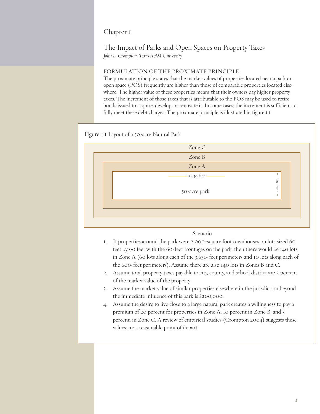## Chapter 1

## The Impact of Parks and Open Spaces on Property Taxes *John L. Crompton, Texas A&M University*

#### FORMULATION OF THE PROXIMATE PRINCIPLE

The proximate principle states that the market values of properties located near a park or open space (POS) frequently are higher than those of comparable properties located elsewhere. The higher value of these properties means that their owners pay higher property taxes. The increment of those taxes that is attributable to the POS may be used to retire bonds issued to acquire, develop, or renovate it. In some cases, the increment is sufficient to fully meet these debt charges. The proximate principle is illustrated in figure 1.1.

Figure 1.1 Layout of a 50-acre Natural Park



#### Scenario

- 1. If properties around the park were 2,000-square foot townhouses on lots sized 60 feet by 90 feet with the 60-feet frontages on the park, then there would be 140 lots in Zone A (60 lots along each of the 3,630-feet perimeters and 10 lots along each of the 600-feet perimeters). Assume there are also 140 lots in Zones B and C. .
- 2. Assume total property taxes payable to city, county, and school district are 2 percent of the market value of the property.
- 3. Assume the market value of similar properties elsewhere in the jurisdiction beyond the immediate influence of this park is \$200,000.
- 4. Assume the desire to live close to a large natural park creates a willingness to pay a premium of 20 percent for properties in Zone A, 10 percent in Zone B, and 5 percent, in Zone C. A review of empirical studies (Crompton 2004) suggests these values are a reasonable point of depart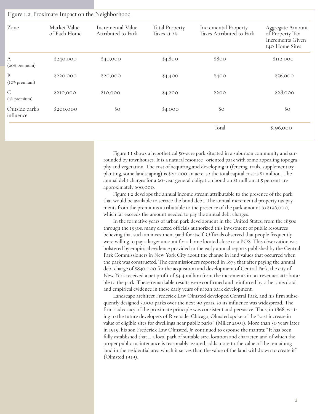|                                      |                              | Figure I.2. Proximate Impact on the Neighborhood |                                      |                                                         |                                                                                  |  |
|--------------------------------------|------------------------------|--------------------------------------------------|--------------------------------------|---------------------------------------------------------|----------------------------------------------------------------------------------|--|
| Zone                                 | Market Value<br>of Each Home | Incremental Value<br>Attributed to Park          | <b>Total Property</b><br>Taxes at 2% | <b>Incremental Property</b><br>Taxes Attributed to Park | Aggregate Amount<br>of Property Tax<br><b>Increments Given</b><br>140 Home Sites |  |
| $\boldsymbol{A}$<br>$(20\%$ premium) | \$240,000                    | \$40,000                                         | \$4,800                              | \$800                                                   | \$I12,000                                                                        |  |
| B<br>(10% premium)                   | \$220,000                    | \$20,000                                         | \$4,400                              | \$400                                                   | \$56,000                                                                         |  |
| $\mathsf{C}$<br>(5% premium)         | \$210,000                    | \$10,000                                         | \$4,200                              | \$200                                                   | \$28,000                                                                         |  |
| Outside park's<br>influence          | \$200,000                    | $\rm{SO}$                                        | \$4,000                              | \$O                                                     | $\rm{SO}$                                                                        |  |
|                                      |                              |                                                  |                                      | Total                                                   | \$196,000                                                                        |  |

Figure 1.1 shows a hypothetical 50-acre park situated in a suburban community and surrounded by townhouses. It is a natural resource–oriented park with some appealing topography and vegetation. The cost of acquiring and developing it (fencing, trails, supplementary planting, some landscaping) is \$20,000 an acre, so the total capital cost is \$1 million. The annual debt charges for a 20-year general obligation bond on \$1 million at 5 percent are approximately \$90,000.

Figure 1.2 develops the annual income stream attributable to the presence of the park that would be available to service the bond debt. The annual incremental property tax payments from the premiums attributable to the presence of the park amount to \$196,000, which far exceeds the amount needed to pay the annual debt charges.

In the formative years of urban park development in the United States, from the 1850s through the 1930s, many elected officials authorized this investment of public resources believing that such an investment paid for itself. Officials observed that people frequently were willing to pay a larger amount for a home located close to a POS. This observation was bolstered by empirical evidence provided in the early annual reports published by the Central Park Commissioners in New York City about the change in land values that occurred when the park was constructed. The commissioners reported in 1873 that after paying the annual debt charge of \$830,000 for the acquisition and development of Central Park, the city of New York received a net profit of \$4.4 million from the increments in tax revenues attributable to the park. These remarkable results were confirmed and reinforced by other anecdotal and empirical evidence in these early years of urban park development.

Landscape architect Frederick Law Olmsted developed Central Park, and his firm subsequently designed 3,000 parks over the next 90 years, so its influence was widespread. The firm's advocacy of the proximate principle was consistent and pervasive. Thus, in 1868, writing to the future developers of Riverside, Chicago, Olmsted spoke of the "vast increase in value of eligible sites for dwellings near public parks" (Miller 2001). More than 50 years later in 1919, his son Frederick Law Olmsted, Jr. continued to espouse the mantra: "It has been fully established that … a local park of suitable size, location and character, and of which the proper public maintenance is reasonably assured, adds more to the value of the remaining land in the residential area which it serves than the value of the land withdrawn to create it" (Olmsted 1919).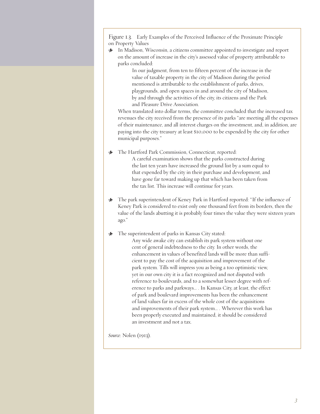Figure 1.3. Early Examples of the Perceived Influence of the Proximate Principle on Property Values

> In Madison, Wisconsin, a citizens committee appointed to investigate and report on the amount of increase in the city's assessed value of property attributable to parks concluded:

> In our judgment, from ten to fifteen percent of the increase in the value of taxable property in the city of Madison during the period mentioned is attributable to the establishment of parks, drives, playgrounds, and open spaces in and around the city of Madison, by and through the activities of the city, its citizens and the Park and Pleasure Drive Association.

When translated into dollar terms, the committee concluded that the increased tax revenues the city received from the presence of its parks "are meeting all the expenses of their maintenance, and all interest charges on the investment, and, in addition, are paying into the city treasury at least \$10,000 to be expended by the city for other municipal purposes."

> The Hartford Park Commission, Connecticut, reported:

A careful examination shows that the parks constructed during the last ten years have increased the ground list by a sum equal to that expended by the city in their purchase and development, and have gone far toward making up that which has been taken from the tax list. This increase will continue for years.

> The park superintendent of Keney Park in Hartford reported: "If the influence of Keney Park is considered to exist only one thousand feet from its borders, then the value of the lands abutting it is probably four times the value they were sixteen years ago."

#### $\cdot \cdot \cdot$  The superintendent of parks in Kansas City stated:

Any wide awake city can establish its park system without one cent of general indebtedness to the city. In other words, the enhancement in values of benefited lands will be more than sufficient to pay the cost of the acquisition and improvement of the park system. Tills will impress you as being a too optimistic view, yet in our own city it is a fact recognized and not disputed with reference to boulevards, and to a somewhat lesser degree with reference to parks and parkways… . In Kansas City, at least, the effect of park and boulevard improvements has been the enhancement of land values far in excess of the whole cost of the acquisitions and improvements of their park system… . Wherever this work has been properly executed and maintained, it should be considered an investment and not a tax.

*Source*: Nolen (1913).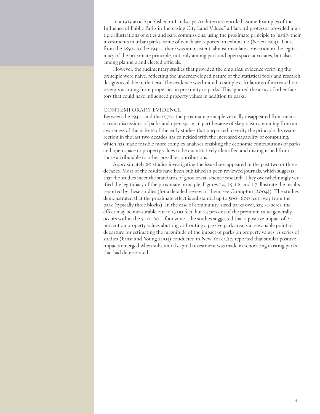In a 1913 article published in Landscape Architecture entitled "Some Examples of the Influence of Public Parks in Increasing City Land Values," a Harvard professor provided multiple illustrations of cities and park commissions, using the proximate principle to justify their investments in urban parks, some of which are reported in exhibit 1.2 (Nolen 1913). Thus, from the 1850s to the 1930s, there was an insistent, almost inviolate conviction in the legitimacy of the proximate principle, not only among park and open space advocates, but also among planners and elected officials.

However, the rudimentary studies that provided the empirical evidence verifying the principle were naive, reflecting the underdeveloped nature of the statistical tools and research designs available in that era. The evidence was limited to simple calculations of increased tax receipts accruing from properties in proximity to parks. This ignored the array of other factors that could have influenced property values in addition to parks.

#### CONTEMPORARY EVIDENCE

Between the 1930s and the 1970s the proximate principle virtually disappeared from mainstream discussions of parks and open space, in part because of skepticism stemming from an awareness of the naiveté of the early studies that purported to verify the principle. Its resurrection in the last two decades has coincided with the increased capability of computing, which has made feasible more complex analyses enabling the economic contributions of parks and open space to property values to be quantitatively identified and distinguished from those attributable to other possible contributions.

Approximately 20 studies investigating the issue have appeared in the past two or three decades. Most of the results have been published in peer-reviewed journals, which suggests that the studies meet the standards of good social science research. They overwhelmingly verified the legitimacy of the proximate principle. Figures 1.4, 1.5, 1.6, and 1.7 illustrate the results reported by these studies (for a detailed review of them, see Crompton [2004]). The studies demonstrated that the proximate effect is substantial up to 500–600 feet away from the park (typically three blocks). In the case of community-sized parks over, say, 30 acres, the effect may be measurable out to 1,500 feet, but 75 percent of the premium value generally occurs within the 500–600-foot zone. The studies suggested that a positive impact of 20 percent on property values abutting or fronting a passive park area is a reasonable point of departure for estimating the magnitude of the impact of parks on property values. A series of studies (Ernst and Young 2003) conducted in New York City reported that similar positive impacts emerged when substantial capital investment was made in renovating existing parks that had deteriorated.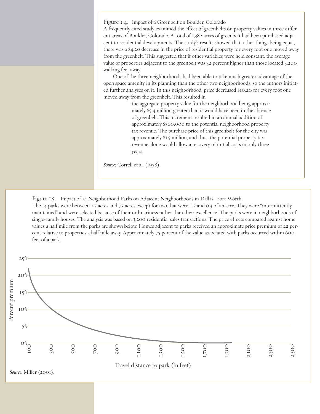Figure 1.4. Impact of a Greenbelt on Boulder, Colorado A frequently cited study examined the effect of greenbelts on property values in three different areas of Boulder, Colorado. A total of 1,382 acres of greenbelt had been purchased adjacent to residential developments. The study's results showed that, other things being equal, there was a \$4.20 decrease in the price of residential property for every foot one moved away from the greenbelt. This suggested that if other variables were held constant, the average value of properties adjacent to the greenbelt was 32 percent higher than those located 3,200 walking feet away.

One of the three neighborhoods had been able to take much greater advantage of the open space amenity in its planning than the other two neighborhoods, so the authors initiated further analyses on it. In this neighborhood, price decreased \$10.20 for every foot one moved away from the greenbelt. This resulted in

> the aggregate property value for the neighborhood being approximately \$5.4 million greater than it would have been in the absence of greenbelt. This increment resulted in an annual addition of approximately \$500,000 to the potential neighborhood property tax revenue. The purchase price of this greenbelt for the city was approximately \$1.5 million, and thus, the potential property tax revenue alone would allow a recovery of initial costs in only three years.

*Source*: Correll et al. (1978).

Figure 1.5. Impact of 14 Neighborhood Parks on Adjacent Neighborhoods in Dallas–Fort Worth The 14 parks were between 2.5 acres and 7.3 acres except for two that were 0.5 and 0.3 of an acre. They were "intermittently maintained" and were selected because of their ordinariness rather than their excellence. The parks were in neighborhoods of single-family houses. The analysis was based on 3,200 residential sales transactions. The price effects compared against home values a half mile from the parks are shown below. Homes adjacent to parks received an approximate price premium of 22 percent relative to properties a half mile away. Approximately 75 percent of the value associated with parks occurred within 600 feet of a park.

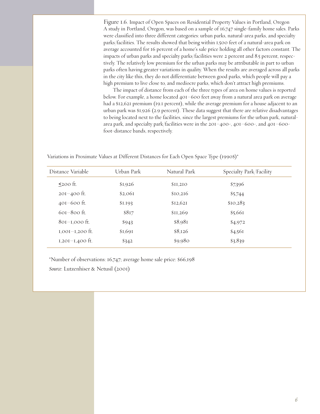Figure 1.6. Impact of Open Spaces on Residential Property Values in Portland, Oregon A study in Portland, Oregon, was based on a sample of 16,747 single-family home sales. Parks were classified into three different categories: urban parks, natural-area parks, and specialty parks/facilities. The results showed that being within 1,500 feet of a natural-area park on average accounted for 16 percent of a home's sale price holding all other factors constant. The impacts of urban parks and specialty parks/facilities were 2 percent and 8.5 percent, respectively. The relatively low premium for the urban parks may be attributable in part to urban parks often having greater variations in quality. When the results are averaged across all parks in the city like this, they do not differentiate between good parks, which people will pay a high premium to live close to, and mediocre parks, which don't attract high premiums.

The impact of distance from each of the three types of area on home values is reported below. For example, a home located 401–600 feet away from a natural area park on average had a \$12,621 premium (19.1 percent), while the average premium for a house adjacent to an urban park was \$1,926 (2.9 percent). These data suggest that there are relative disadvantages to being located next to the facilities, since the largest premiums for the urban park, naturalarea park, and specialty park/facilities were in the 201–400-, 401–600-, and 401–600 foot-distance bands, respectively.

Variations in Proximate Values at Different Distances for Each Open Space Type (1990\$)\*

| Distance Variable | Urban Park | Natural Park | Specialty Park/Facility |
|-------------------|------------|--------------|-------------------------|
| $\leq$ 200 ft.    | \$1,926    | \$11,210     | \$7,396                 |
| $201 - 400$ ft.   | \$2,06I    | \$10,216     | \$5,744                 |
| $401-600$ ft.     | \$I.I93    | \$12,621     | \$10,283                |
| $60I-800$ ft.     | \$8I7      | \$II,269     | \$5,661                 |
| $801-1,000$ ft.   | \$943      | \$8,981      | \$4,972                 |
| $1,001-1,200$ ft. | \$I,69I    | \$8,126      | \$4,561                 |
| $I,20I-I,400$ ft. | \$342      | \$9,980      | \$3,839                 |

\*Number of observations: 16,747; average home sale price: \$66,198

*Source*: Lutzenhiser & Netusil (2001)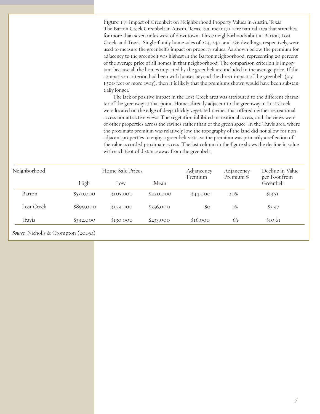Figure 1.7. Impact of Greenbelt on Neighborhood Property Values in Austin, Texas The Barton Creek Greenbelt in Austin, Texas, is a linear 171-acre natural area that stretches for more than seven miles west of downtown. Three neighborhoods abut it: Barton, Lost Creek, and Travis. Single-family home sales of 224, 240, and 236 dwellings, respectively, were used to measure the greenbelt's impact on property values. As shown below, the premium for adjacency to the greenbelt was highest in the Barton neighborhood, representing 20 percent of the average price of all homes in that neighborhood. The comparison criterion is important because all the homes impacted by the greenbelt are included in the average price. If the comparison criterion had been with houses beyond the direct impact of the greenbelt (say, 1,500 feet or more away), then it is likely that the premiums shown would have been substantially longer.

The lack of positive impact in the Lost Creek area was attributed to the different character of the greenway at that point. Homes directly adjacent to the greenway in Lost Creek were located on the edge of deep, thickly vegetated ravines that offered neither recreational access nor attractive views. The vegetation inhibited recreational access, and the views were of other properties across the ravines rather than of the green space. In the Travis area, where the proximate premium was relatively low, the topography of the land did not allow for nonadjacent properties to enjoy a greenbelt vista, so the premium was primarily a reflection of the value accorded proximate access. The last column in the figure shows the decline in value with each foot of distance away from the greenbelt.

| Neighborhood |           | Home Sale Prices |           | Adjancency<br>Premium | Adjancency<br>Premium % | Decline in Value<br>per Foot from |
|--------------|-----------|------------------|-----------|-----------------------|-------------------------|-----------------------------------|
|              | High      | Low              | Mean      |                       |                         | Greenbelt                         |
| Barton       | \$550,000 | \$105,000        | \$220,000 | \$44,000              | 20%                     | \$13.51                           |
| Lost Creek   | \$899,000 | \$179,000        | \$356,000 | $\mathcal{S}^{\circ}$ | $O\%$                   | \$3.97                            |
| Travis       | \$392,000 | \$130,000        | \$233,000 | \$16,000              | 6%                      | \$10.61                           |

*Source*: Nicholls & Crompton (2005a)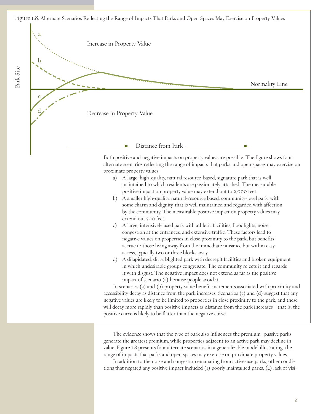Figure 1.8. Alternate Scenarios Reflecting the Range of Impacts That Parks and Open Spaces May Exercise on Property Values

Park Site



*8*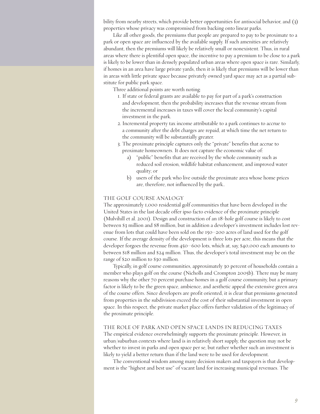bility from nearby streets, which provide better opportunities for antisocial behavior, and (3) properties whose privacy was compromised from backing onto linear parks.

Like all other goods, the premiums that people are prepared to pay to be proximate to a park or open space are influenced by the available supply. If such amenities are relatively abundant, then the premiums will likely be relatively small or nonexistent. Thus, in rural areas where there is plentiful open space, the incentive to pay a premium to be close to a park is likely to be lower than in densely populated urban areas where open space is rare. Similarly, if homes in an area have large private yards, then it is likely that premiums will be lower than in areas with little private space because privately owned yard space may act as a partial substitute for public park space.

Three additional points are worth noting:

- 1. If state or federal grants are available to pay for part of a park's construction and development, then the probability increases that the revenue stream from the incremental increases in taxes will cover the local community's capital investment in the park.
- 2. Incremental property tax income attributable to a park continues to accrue to a community after the debt charges are repaid, at which time the net return to the community will be substantially greater.
- 3. The proximate principle captures only the "private" benefits that accrue to proximate homeowners. It does not capture the economic value of:
	- a) "public" benefits that are received by the whole community such as reduced soil erosion, wildlife habitat enhancement, and improved water quality; or
	- b) users of the park who live outside the proximate area whose home prices are, therefore, not influenced by the park..

#### THE GOLF COURSE ANALOGY

The approximately 1,000 residential golf communities that have been developed in the United States in the last decade offer ipso facto evidence of the proximate principle (Mulvihill et al. 2001). Design and construction of an 18-hole golf course is likely to cost between \$3 million and \$8 million, but in addition a developer's investment includes lost revenue from lots that could have been sold on the 150–200 acres of land used for the golf course. If the average density of the development is three lots per acre, this means that the developer forgoes the revenue from 450–600 lots, which at, say, \$40,000 each amounts to between \$18 million and \$24 million. Thus, the developer's total investment may be on the range of \$20 million to \$30 million.

Typically, in golf course communities, approximately 30 percent of households contain a member who plays golf on the course (Nicholls and Crompton 2005b). There may be many reasons why the other 70 percent purchase homes in a golf course community, but a primary factor is likely to be the green space, ambience, and aesthetic appeal the extensive green area of the course offers. Since developers are profit oriented, it is clear that premiums generated from properties in the subdivision exceed the cost of their substantial investment in open space. In this respect, the private market place offers further validation of the legitimacy of the proximate principle.

#### THE ROLE OF PARK AND OPEN SPACE LANDS IN REDUCING TAXES

The empirical evidence overwhelmingly supports the proximate principle. However, in urban/suburban contexts where land is in relatively short supply, the question may not be whether to invest in parks and open space per se, but rather whether such an investment is likely to yield a better return than if the land were to be used for development.

The conventional wisdom among many decision makers and taxpayers is that development is the "highest and best use" of vacant land for increasing municipal revenues. The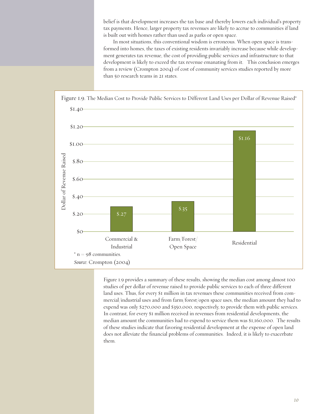belief is that development increases the tax base and thereby lowers each individual's property tax payments. Hence, larger property tax revenues are likely to accrue to communities if land is built out with homes rather than used as parks or open space.

In most situations, this conventional wisdom is erroneous. When open space is transformed into homes, the taxes of existing residents invariably increase because while development generates tax revenue, the cost of providing public services and infrastructure to that development is likely to exceed the tax revenue emanating from it. This conclusion emerges from a review (Crompton 2004) of cost of community services studies reported by more than 50 research teams in 21 states.



Figure 1.9 provides a summary of these results, showing the median cost among almost 100 studies of per dollar of revenue raised to provide public services to each of three different land uses. Thus, for every \$1 million in tax revenues these communities received from commercial/industrial uses and from farm/forest/open space uses, the median amount they had to expend was only \$270,000 and \$350,000, respectively, to provide them with public services. In contrast, for every \$1 million received in revenues from residential developments, the median amount the communities had to expend to service them was \$1,160,000. The results of these studies indicate that favoring residential development at the expense of open land does not alleviate the financial problems of communities. Indeed, it is likely to exacerbate them.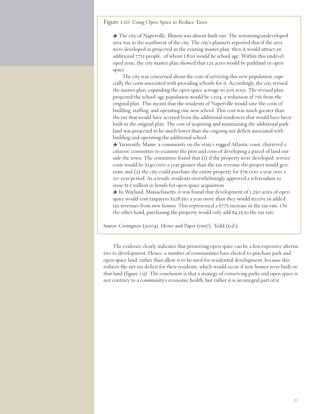Figure 1.10. Using Open Space to Reduce Taxes

> The city of Naperville, Illinois was almost built out. The remaining undeveloped area was in the southwest of the city. The city's planners reported that if the area were developed as projected in the existing master plan, then it would attract an additional 7,711 people, of whom 1,820 would be school age. Within this undeveloped zone, the city master plan showed that 125 acres would be parkland or open space.

The city was concerned about the cost of servicing this new population, especially the costs associated with providing schools for it. Accordingly, the city revised the master plan, expanding the open space acreage to 205 acres. The revised plan projected the school-age population would be 1,104, a reduction of 716 from the original plan. This meant that the residents of Naperville would save the costs of building, staffing, and operating one new school. This cost was much greater than the tax that would have accrued from the additional residences that would have been built in the original plan. The cost of acquiring and maintaining the additional parkland was projected to be much lower than the ongoing net deficit associated with building and operating the additional school.

> Yarmouth, Maine, a community on the state's rugged Atlantic coast, chartered a citizens' committee to examine the pros and cons of developing a parcel of land outside the town. The committee found that (1) if the property were developed, service costs would be \$140,000 a year greater than the tax revenue the project would generate and (2) the city could purchase the entire property for \$76,000 a year over a 20-year period. As a result, residents overwhelmingly approved a referendum to issue \$1.5 million in bonds for open space acquisition.

> In Wayland, Massachusetts, it was found that development of 1,250 acres of open space would cost taxpayers \$328,350 a year more than they would receive in added tax revenues from new homes. This represented a \$7.75 increase in the tax rate. On the other hand, purchasing the property would only add \$4.25 to the tax rate.

*Sources*: Crompton (2004). Howe and Papst (1997). Todd (n.d.).

The evidence clearly indicates that preserving open space can be a less expensive alternative to development. Hence, a number of communities have elected to purchase park and open space land, rather than allow it to be used for residential development, because this reduces the net tax deficit for their residents, which would occur if new homes were built on that land (figure 1.9). The conclusion is that a strategy of conserving parks and open space is not contrary to a community's economic health, but rather it is an integral part of it.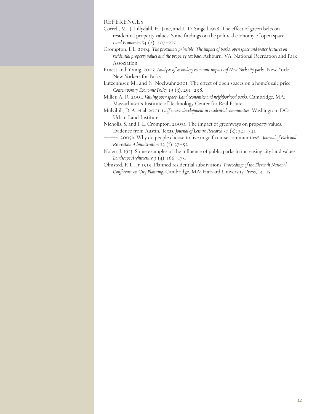#### REFERENCES

- Correll, M., J. Lillydahl, H. Jane, and L. D. Singell.1978. The effect of green belts on residential property values: Some findings on the political economy of open space. *Land Economics* 54 (2): 207–217.
- Crompton, J. L. 2004. *Theproximateprinciple: The impact ofparks, open space and water features on residential property values and the property tax base.* Ashburn, VA: National Recreation and Park Association.
- Ernest and Young. 2003. *Analysis of secondary economic impacts of New York cityparks*. New York: New Yorkers for Parks.

Lutzenhiser, M., and N. Noelwahr.2001. The effect of open spaces on a home's sale price. *Contemporary Economic Policy* 19 (3): 291–298.

- Miller, A. R. 2001. *Valuing open space: Land economics and neighborhoodparks*. Cambridge, MA: Massachusetts Institute of Technology Center for Real Estate.
- Mulvihill, D. A. et al. 2001. *Golf course development in residential communities*. Washington, DC: Urban Land Institute.

Nicholls, S. and J. L. Crompton. 2005a. The impact of greenways on property values: Evidence from Austin, Texas. *Journal of Leisure Research* 37 (3): 321–341.

- ———. 2005b. Why do people choose to live in golf course communities? *Journal of Park and Recreation Administration* 23 (1): 37–52.
- Nolen, J. 1913. Some examples of the influence of public parks in increasing city land values. *Landscape Architecture* 3 (4): 166–175.
- Olmsted, F. L., Jr. 1919. Planned residential subdivisions. *Proceedings of the Eleventh National Conference on City Planning*. Cambridge, MA: Harvard University Press, 14–15.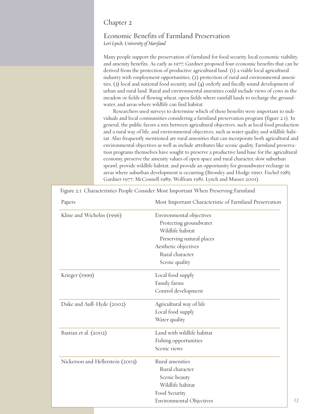#### Chapter 2

## Economic Benefits of Farmland Preservation *Lori Lynch, University of Maryland*

Many people support the preservation of farmland for food security, local economic viability, and amenity benefits. As early as 1977, Gardner proposed four economic benefits that can be derived from the protection of productive agricultural land: (1) a viable local agricultural industry with employment opportunities, (2) protection of rural and environmental amenities, (3) local and national food security, and (4) orderly and fiscally sound development of urban and rural land. Rural and environmental amenities could include views of cows in the meadow or fields of flowing wheat, open fields where rainfall lands to recharge the groundwater, and areas where wildlife can find habitat.

Researchers used surveys to determine which of these benefits were important to individuals and local communities considering a farmland preservation program (figure 2.1). In general, the public favors a mix between agricultural objectives, such as local food production and a rural way of life, and environmental objectives, such as water quality and wildlife habitat. Also frequently mentioned are rural amenities that can incorporate both agricultural and environmental objectives as well as include attributes like scenic quality. Farmland preservation programs themselves have sought to preserve a productive land base for the agricultural economy, preserve the amenity values of open space and rural character, slow suburban sprawl, provide wildlife habitat, and provide an opportunity for groundwater recharge in areas where suburban development is occurring (Bromley and Hodge 1990; Fischel 1985; Gardner 1977; McConnell 1989; Wolfram 1981; Lynch and Musser 2001).

| Papers                           | Most Important Characteristic of Farmland Preservation |
|----------------------------------|--------------------------------------------------------|
| Kline and Wichelns (1996)        | Environmental objectives                               |
|                                  | Protecting groundwater                                 |
|                                  | Wildlife habitat                                       |
|                                  | Preserving natural places                              |
|                                  | Aesthetic objectives                                   |
|                                  | Rural character                                        |
|                                  | Scenic quality                                         |
| Krieger (1999)                   | Local food supply                                      |
|                                  | Family farms                                           |
|                                  | Control development                                    |
| Duke and Aull-Hyde (2002)        | Agricultural way of life                               |
|                                  | Local food supply                                      |
|                                  | Water quality                                          |
| Bastian et al. (2002)            | Land with wildlife habitat                             |
|                                  | Fishing opportunities                                  |
|                                  | Scenic views                                           |
| Nickerson and Hellerstein (2003) | Rural amenities                                        |
|                                  | Rural character                                        |
|                                  | Scenic beauty                                          |
|                                  | Wildlife habitat                                       |
|                                  | Food Security                                          |
|                                  | <b>Environmental Objectives</b>                        |

Figure 2.1. Characteristics People Consider Most Important When Preserving Farmland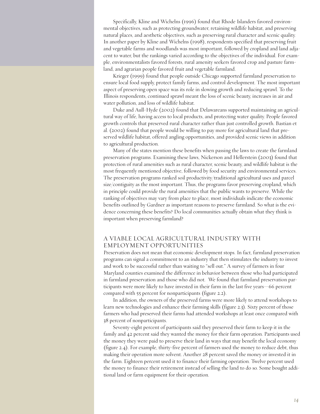Specifically, Kline and Wichelns (1996) found that Rhode Islanders favored environmental objectives, such as protecting groundwater, retaining wildlife habitat, and preserving natural places, and aesthetic objectives, such as preserving rural character and scenic quality. In another paper by Kline and Wichelns (1998), respondents specified that preserving fruit and vegetable farms and woodlands was most important, followed by cropland and land adjacent to water, but the rankings varied according to the objectives of the individual. For example, environmentalists favored forests, rural amenity seekers favored crop and pasture farmland, and agrarian people favored fruit and vegetable farmland.

Krieger (1999) found that people outside Chicago supported farmland preservation to ensure local food supply, protect family farms, and control development. The most important aspect of preserving open space was its role in slowing growth and reducing sprawl. To the Illinois respondents, continued sprawl meant the loss of scenic beauty, increases in air and water pollution, and loss of wildlife habitat.

Duke and Aull-Hyde (2002) found that Delawareans supported maintaining an agricultural way of life, having access to local products, and protecting water quality. People favored growth controls that preserved rural character rather than just controlled growth. Bastian et al. (2002) found that people would be willing to pay more for agricultural land that preserved wildlife habitat, offered angling opportunities, and provided scenic views in addition to agricultural production.

Many of the states mention these benefits when passing the laws to create the farmland preservation programs. Examining these laws, Nickerson and Hellerstein (2003) found that protection of rural amenities such as rural character, scenic beauty, and wildlife habitat is the most frequently mentioned objective, followed by food security and environmental services. The preservation programs ranked soil productivity/traditional agricultural uses and parcel size/contiguity as the most important. Thus, the programs favor preserving cropland, which in principle could provide the rural amenities that the public wants to preserve. While the ranking of objectives may vary from place to place, most individuals indicate the economic benefits outlined by Gardner as important reasons to preserve farmland. So what is the evidence concerning these benefits? Do local communities actually obtain what they think is important when preserving farmland?

#### A VIABLE LOCAL AGRICULTURAL INDUSTRY WITH EMPLOYMENT OPPORTUNITIES

Preservation does not mean that economic development stops. In fact, farmland preservation programs can signal a commitment to an industry that then stimulates the industry to invest and work to be successful rather than waiting to "sell out." A survey of farmers in four Maryland counties examined the difference in behavior between those who had participated in farmland preservation and those who did not. We found that farmland preservation participants were more likely to have invested in their farm in the last five years—66 percent compared with 55 percent for nonparticipants (figure 2.2).

In addition, the owners of the preserved farms were more likely to attend workshops to learn new technologies and enhance their farming skills (figure 2.3). Sixty percent of those farmers who had preserved their farms had attended workshops at least once compared with 38 percent of nonparticipants.

Seventy-eight percent of participants said they preserved their farm to keep it in the family and 42 percent said they wanted the money for their farm operation. Participants used the money they were paid to preserve their land in ways that may benefit the local economy (figure 2.4). For example, thirty-five percent of farmers used the money to reduce debt, thus making their operation more solvent. Another 28 percent saved the money or invested it in the farm. Eighteen percent used it to finance their farming operation. Twelve percent used the money to finance their retirement instead of selling the land to do so. Some bought additional land or farm equipment for their operation.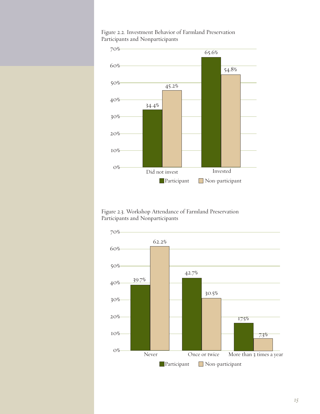

Figure 2.2. Investment Behavior of Farmland Preservation Participants and Nonparticipants

Figure 2.3. Workshop Attendance of Farmland Preservation Participants and Nonparticipants

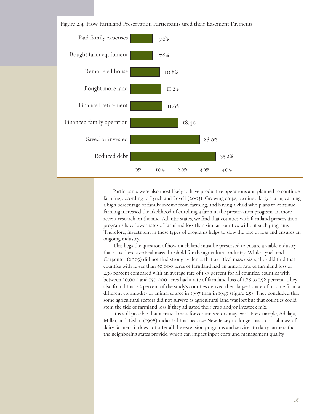

Participants were also most likely to have productive operations and planned to continue farming, according to Lynch and Lovell (2003). Growing crops, owning a larger farm, earning a high percentage of family income from farming, and having a child who plans to continue farming increased the likelihood of enrolling a farm in the preservation program. In more recent research on the mid-Atlantic states, we find that counties with farmland preservation programs have lower rates of farmland loss than similar counties without such programs. Therefore, investment in these types of programs helps to slow the rate of loss and ensures an ongoing industry.

This begs the question of how much land must be preserved to ensure a viable industry; that is, is there a critical mass threshold for the agricultural industry. While Lynch and Carpenter (2003) did not find strong evidence that a critical mass exists, they did find that counties with fewer than 50,000 acres of farmland had an annual rate of farmland loss of 2.36 percent compared with an average rate of 1.57 percent for all counties; counties with between 50,000 and 150,000 acres had a rate of farmland loss of 1.88 to 1.98 percent. They also found that 42 percent of the study's counties derived their largest share of income from a different commodity or animal source in 1997 than in 1949 (figure 2.5). They concluded that some agricultural sectors did not survive as agricultural land was lost but that counties could stem the tide of farmland loss if they adjusted their crop and/or livestock mix.

It is still possible that a critical mass for certain sectors may exist. For example, Adelaja, Miller, and Taslim (1998) indicated that because New Jersey no longer has a critical mass of dairy farmers, it does not offer all the extension programs and services to dairy farmers that the neighboring states provide, which can impact input costs and management quality.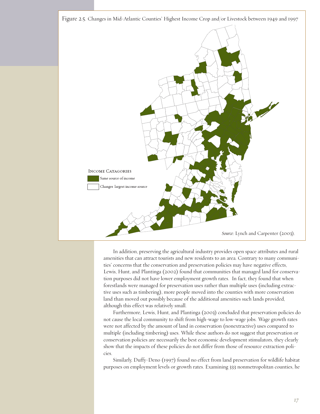

In addition, preserving the agricultural industry provides open space attributes and rural amenities that can attract tourists and new residents to an area. Contrary to many communities' concerns that the conservation and preservation policies may have negative effects, Lewis, Hunt, and Plantinga (2002) found that communities that managed land for conservation purposes did not have lower employment growth rates. In fact, they found that when forestlands were managed for preservation uses rather than multiple uses (including extractive uses such as timbering), more people moved into the counties with more conservation land than moved out possibly because of the additional amenities such lands provided, although this effect was relatively small.

Furthermore, Lewis, Hunt, and Plantinga (2003) concluded that preservation policies do not cause the local community to shift from high-wage to low-wage jobs. Wage growth rates were not affected by the amount of land in conservation (nonextractive) uses compared to multiple (including timbering) uses. While these authors do not suggest that preservation or conservation policies are necessarily the best economic development stimulators, they clearly show that the impacts of these policies do not differ from those of resource extraction policies.

Similarly, Duffy-Deno (1997) found no effect from land preservation for wildlife habitat purposes on employment levels or growth rates. Examining 333 nonmetropolitan counties, he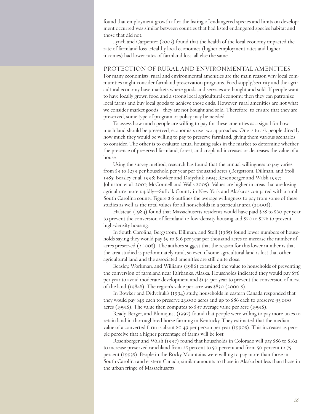found that employment growth after the listing of endangered species and limits on development occurred was similar between counties that had listed endangered species habitat and those that did not.

Lynch and Carpenter (2003) found that the health of the local economy impacted the rate of farmland loss. Healthy local economies (higher employment rates and higher incomes) had lower rates of farmland loss, all else the same.

#### PROTECTION OF RURAL AND ENVIRONMENTAL AMENITIES

For many economists, rural and environmental amenities are the main reason why local communities might consider farmland preservation programs. Food supply/security and the agricultural economy have markets where goods and services are bought and sold. If people want to have locally grown food and a strong local agricultural economy, then they can patronize local farms and buy local goods to achieve those ends. However, rural amenities are not what we consider market goods—they are not bought and sold. Therefore, to ensure that they are preserved, some type of program or policy may be needed.

To assess how much people are willing to pay for these amenities as a signal for how much land should be preserved, economists use two approaches. One is to ask people directly how much they would be willing to pay to preserve farmland, giving them various scenarios to consider. The other is to evaluate actual housing sales in the market to determine whether the presence of preserved farmland, forest, and cropland increases or decreases the value of a house.

Using the survey method, research has found that the annual willingness to pay varies from \$9 to \$239 per household per year per thousand acres (Bergstrom, Dillman, and Stoll 1985; Beasley et al. 1998; Bowker and Didychuk 1994; Rosenberger and Walsh 1997; Johnston et al. 2001; McConnell and Walls 2005). Values are higher in areas that are losing agriculture more rapidly—Suffolk County in New York and Alaska as compared with a rural South Carolina county. Figure 2.6 outlines the average willingness to pay from some of these studies as well as the total values for all households in a particular area (2000\$).

Halstead (1984) found that Massachusetts residents would have paid \$28 to \$60 per year to prevent the conversion of farmland to low-density housing and \$70 to \$176 to prevent high-density housing.

In South Carolina, Bergstrom, Dillman, and Stoll (1985) found lower numbers of households saying they would pay \$9 to \$16 per year per thousand acres to increase the number of acres preserved (2000\$). The authors suggest that the reason for this lower number is that the area studied is predominately rural, so even if some agricultural land is lost that other agricultural land and the associated amenities are still quite close.

Beasley, Workman, and Williams (1986) examined the value to households of preventing the conversion of farmland near Fairbanks, Alaska. Households indicated they would pay \$76 per year to avoid moderate development and \$144 per year to prevent the conversion of most of the land (1984\$). The region's value per acre was \$830 (2000 \$).

In Bowker and Didychuk's (1994) study, households in eastern Canada responded that they would pay \$49 each to preserve 23,000 acres and up to \$86 each to preserve 95,000 acres (1991\$). The value then computes to \$97 average value per acre (1991\$).

Ready, Berger, and Blomquist (1997) found that people were willing to pay more taxes to retain land in thoroughbred horse farming in Kentucky. They estimated that the median value of a converted farm is about \$0.49 per person per year (1990\$). This increases as people perceive that a higher percentage of farms will be lost.

Rosenberger and Walsh (1997) found that households in Colorado will pay \$86 to \$162 to increase preserved ranchland from 25 percent to 50 percent and from 50 percent to 75 percent (1993\$). People in the Rocky Mountains were willing to pay more than those in South Carolina and eastern Canada, similar amounts to those in Alaska but less than those in the urban fringe of Massachusetts.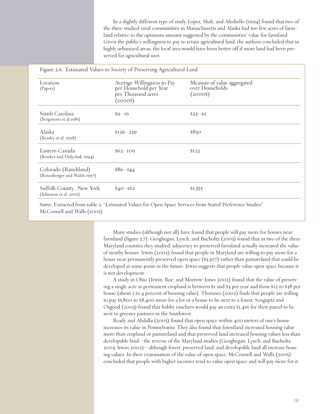In a slightly different type of study, Lopez, Shah, and Altobello (1994) found that two of the three studied rural communities in Massachusetts and Alaska had too few acres of farmland relative to the optimum amount suggested by the communities' value for farmland. Given the public's willingness to pay to retain agricultural land, the authors concluded that in highly urbanized areas, the local area would have been better off if more land had been preserved for agricultural uses.

|                                                      | Figure 2.6. Estimated Values to Society of Preserving Agricultural Land                |                                                            |
|------------------------------------------------------|----------------------------------------------------------------------------------------|------------------------------------------------------------|
| Location<br>(Papers)                                 | Average Willingness to Pay<br>per Household per Year<br>per Thousand acres<br>$(2000\$ | Measure of value aggregated<br>over Households<br>$(2000\$ |
| South Carolina<br>(Bergstrom et al 1985)             | $$9-16$                                                                                | $$23 - 61$                                                 |
| Alaska<br>(Beasley et al. 1998)                      | $$126 - 239$                                                                           | \$830                                                      |
| Eastern Canada<br>(Bowker and Didychuk 1994)         | $$62-109$                                                                              | \$I23                                                      |
| Colorado (Ranchland)<br>(Rosenberger and Walsh 1997) | $$86 - 144$                                                                            |                                                            |
| Suffolk County, New York<br>(Johnston et al. 2001)   | $$40 - 162$                                                                            | \$1,355                                                    |

*Source*: Extracted from table 2, "Estimated Values for Open Space Services from Stated Preference Studies" McConnell and Walls (2005).

> Many studies (although not all) have found that people will pay more for houses near farmland (figure 2.7). Geoghegan, Lynch, and Bucholtz (2003) found that in two of the three Maryland counties they studied, adjacency to preserved farmland actually increased the value of nearby houses. Irwin (2002) found that people in Maryland are willing to pay more for a house near permanently preserved open space (\$3,307) rather than pastureland that could be developed at some point in the future. Irwin suggests that people value open space because it is not development.

> A study in Ohio (Irwin, Roe, and Morrow-Jones 2002) found that the value of preserving a single acre as permanent cropland is between \$1 and \$3 per year and from \$12 to \$38 per house (about 1 to 4 percent of housing value). Thorsnes (2002) finds that people are willing to pay \$5,800 to \$8,400 more for a lot or a house to be next to a forest. Sengupta and Osgood (2003) found that hobby ranchers would pay an extra \$1,416 for their parcel to be next to greener pastures in the Southwest.

> Ready and Abdalla (2005) found that open space within 400 meters of one's house increases its value in Pennsylvania. They also found that forestland increased housing value more than cropland or pastureland and that preserved land increased housing values less than developable land—the reverse of the Maryland studies (Geoghegan, Lynch, and Bucholtz 2003; Irwin 2002)—although forest, preserved land, and developable land all increase housing values. In their examination of the value of open space, McConnell and Walls (2005) concluded that people with higher incomes tend to value open space and will pay more for it.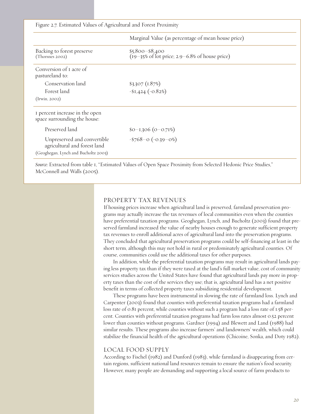Figure 2.7. Estimated Values of Agricultural and Forest Proximity

|                                                                                                     | Marginal Value (as percentage of mean house price)                                               |
|-----------------------------------------------------------------------------------------------------|--------------------------------------------------------------------------------------------------|
| Backing to forest preserve<br>(Thorsnes 2002)                                                       | $$5,800 - $8,400$<br>$(19-35\% \text{ of } 10t \text{ price}; 2.9-6.8\% \text{ of house price})$ |
| Conversion of I acre of<br>pastureland to:                                                          |                                                                                                  |
| Conservation land                                                                                   | $$3,307$ (1.87%)                                                                                 |
| Forest land                                                                                         | $-$1,424 (-0.82%)$                                                                               |
| (Irwin, 2002)                                                                                       |                                                                                                  |
| I percent increase in the open<br>space surrounding the house:                                      |                                                                                                  |
| Preserved land                                                                                      | $$0-1,306 (0-0.71%)$                                                                             |
| Unpreserved and convertible<br>agricultural and forest land<br>(Geoghegan, Lynch and Bucholtz 2003) | $-$ \$768-o (-0.39-0%)                                                                           |

*Source:* Extracted from table 1, "Estimated Values of Open Space Proximity from Selected Hedonic Price Studies," McConnell and Walls (2005).

#### PROPERTY TAX REVENUES

If housing prices increase when agricultural land is preserved, farmland preservation programs may actually increase the tax revenues of local communities even when the counties have preferential taxation programs. Geoghegan, Lynch, and Bucholtz (2003) found that preserved farmland increased the value of nearby houses enough to generate sufficient property tax revenues to enroll additional acres of agricultural land into the preservation programs. They concluded that agricultural preservation programs could be self-financing at least in the short term, although this may not hold in rural or predominately agricultural counties. Of course, communities could use the additional taxes for other purposes.

In addition, while the preferential taxation programs may result in agricultural lands paying less property tax than if they were taxed at the land's full market value, cost of community services studies across the United States have found that agricultural lands pay more in property taxes than the cost of the services they use; that is, agricultural land has a net positive benefit in terms of collected property taxes subsidizing residential development.

These programs have been instrumental in slowing the rate of farmland loss. Lynch and Carpenter (2003) found that counties with preferential taxation programs had a farmland loss rate of 0.81 percent, while counties without such a program had a loss rate of 1.58 percent. Counties with preferential taxation programs had farm loss rates almost 0.52 percent lower than counties without programs. Gardner (1994) and Blewett and Land (1988) had similar results. These programs also increase farmers' and landowners' wealth, which could stabilize the financial health of the agricultural operations (Chicoine, Sonka, and Doty 1982).

#### LOCAL FOOD SUPPLY

According to Fischel (1982) and Dunford (1983), while farmland is disappearing from certain regions, sufficient national land resources remain to ensure the nation's food security. However, many people are demanding and supporting a local source of farm products to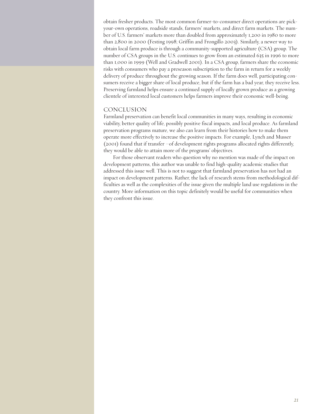obtain fresher products. The most common farmer-to-consumer direct operations are pickyour-own operations, roadside stands, farmers' markets, and direct farm markets. The number of U.S. farmers' markets more than doubled from approximately 1,200 in 1980 to more than 2,800 in 2000 (Festing 1998; Griffin and Frongillo 2003). Similarly, a newer way to obtain local farm produce is through a community-supported agriculture (CSA) group. The number of CSA groups in the U.S. continues to grow from an estimated 635 in 1996 to more than 1,000 in 1999 (Well and Gradwell 2001). In a CSA group, farmers share the economic risks with consumers who pay a preseason subscription to the farm in return for a weekly delivery of produce throughout the growing season. If the farm does well, participating consumers receive a bigger share of local produce, but if the farm has a bad year, they receive less. Preserving farmland helps ensure a continued supply of locally grown produce as a growing clientele of interested local customers helps farmers improve their economic well-being.

#### CONCLUSION

Farmland preservation can benefit local communities in many ways, resulting in economic viability, better quality of life, possibly positive fiscal impacts, and local produce. As farmland preservation programs mature, we also can learn from their histories how to make them operate more effectively to increase the positive impacts. For example, Lynch and Musser (2001) found that if transfer –of development rights programs allocated rights differently, they would be able to attain more of the programs' objectives.

For those observant readers who question why no mention was made of the impact on development patterns, this author was unable to find high-quality academic studies that addressed this issue well. This is not to suggest that farmland preservation has not had an impact on development patterns. Rather, the lack of research stems from methodological difficulties as well as the complexities of the issue given the multiple land use regulations in the country. More information on this topic definitely would be useful for communities when they confront this issue.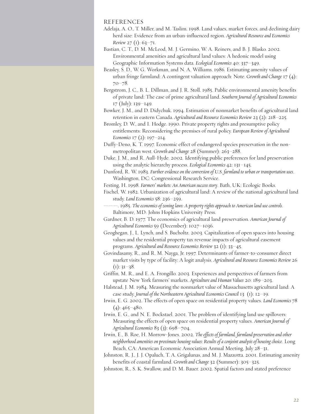#### REFERENCES

- Adelaja, A. O., T. Miller, and M. Taslim. 1998. Land values, market forces, and declining dairy herd size: Evidence from an urban-influenced region. *Agricultural Resource and Economics Review* 27 (1): 63-71.
- Bastian, C. T., D. M. McLeod, M. J. Germino, W. A. Reiners, and B. J. Blasko. 2002. Environmental amenities and agricultural land values: A hedonic model using Geographic Information Systems data. *Ecological Economics* 40: 337–349.
- Beasley, S. D., W. G. Workman, and N. A. Williams. 1986. Estimating amenity values of urban fringe farmland: A contingent valuation approach: Note. *Growth and Change* 17 (4): 70–78.
- Bergstrom, J. C., B. L. Dillman, and J. R. Stoll. 1985. Public environmental amenity benefits of private land: The case of prime agricultural land. *Southern Journal of Agricultural Economics* 17 (July): 139–149.
- Bowker, J. M., and D. Didychuk. 1994. Estimation of nonmarket benefits of agricultural land retention in eastern Canada. *Agricultural and Resource Economics Review* 23 (2): 218–225.
- Bromley, D. W., and I. Hodge. 1990. Private property rights and presumptive policy entitlements: Reconsidering the premises of rural policy. *European Review of Agricultural Economics* 17 (2): 197–214.
- Duffy-Deno, K. T. 1997. Economic effect of endangered species preservation in the nonmetropolitan west. *Growth and Change* 28 (Summer): 263–288.
- Duke, J. M., and R. Aull-Hyde. 2002. Identifying public preferences for land preservation using the analytic hierarchy process. *Ecological Economics* 42: 131–145.
- Dunford, R. W. 1983. *Further evidence on the conversion of U.S. farmland to urban or transportation uses*. Washington, DC: Congressional Research Service.
- Festing, H. 1998. *Farmers' markets: An American success story*. Bath, UK: Ecologic Books.

Fischel, W. 1982. Urbanization of agricultural land: A review of the national agricultural land study. *Land Economics* 58: 236–259.

- ———. 1985. *The economics of zoning laws: A property rights approach to American land use controls*. Baltimore, MD: Johns Hopkins University Press.
- Gardner, B. D. 1977. The economics of agricultural land preservation. *American Journal of Agricultural Economics* 59 (December): 1027–1036.
- Geoghegan, J., L. Lynch, and S. Bucholtz. 2003. Capitalization of open spaces into housing values and the residential property tax revenue impacts of agricultural easement programs. *Agricultural and Resource Economics Review* 32 (1): 33–45.
- Govindasamy, R., and R. M. Nayga, Jr. 1997. Determinants of farmer-to-consumer direct market visits by type of facility: A logit analysis. *Agricultural and Resource Economics Review* 26  $(I): 3I-38.$
- Griffin, M. R., and E. A. Frongillo. 2003. Experiences and perspectives of farmers from upstate New York farmers' markets. *Agriculture and Human Values* 20: 189–203.
- Halstead, J. M. 1984. Measuring the nonmarket value of Massachusetts agricultural land: A case study. *Journal of the Northeastern Agricultural Economics Council* 13 (1): 12–19.
- Irwin, E. G. 2002. The effects of open space on residential property values. *Land Economics* 78  $(4): 465 - 480.$
- Irwin, E. G., and N. E. Bockstael. 2001. The problem of identifying land use spillovers: Measuring the effects of open space on residential property values. *American Journal of Agricultural Economics* 83 (3): 698–704.
- Irwin, E., B. Roe, H. Morrow-Jones. 2002. *The effects of farmland, farmlandpreservation and other neighborhood amenities on proximate housing values: Results of a conjoint analysis of housing choice*. Long Beach, CA: American Economic Association Annual Meeting, July 28–31.
- Johnston, R. J., J. J. Opaluch, T. A. Grigalunas, and M. J. Mazzotta. 2001. Estimating amenity benefits of coastal farmland. *Growth and Change* 32 (Summer): 305–325.
- Johnston, R., S. K. Swallow, and D. M. Bauer. 2002. Spatial factors and stated preference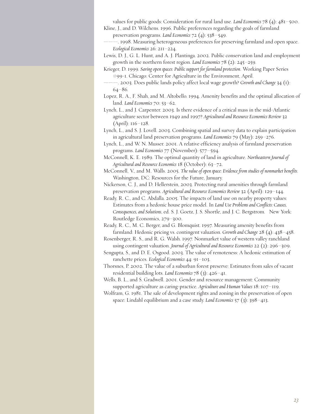values for public goods: Consideration for rural land use. *Land Economics* 78 (4): 481–500. Kline, J., and D. Wilchens. 1996. Public preferences regarding the goals of farmland

preservation programs. *Land Economics* 72 (4): 538–549.

-. 1998. Measuring heterogeneous preferences for preserving farmland and open space. *Ecological Economics* 26: 211–224.

Lewis, D. J., G. L. Hunt, and A. J. Plantinga. 2002. Public conservation land and employment growth in the northern forest region. *Land Economics* 78 (2): 245–259.

Krieger, D. 1999. *Saving open spaces: Public support for farmlandprotection*. Working Paper Series #99-1. Chicago: Center for Agriculture in the Environment, April.

———. 2003. Does public lands policy affect local wage growth? *Growth and Change* 34 (1): 64–86.

Lopez, R. A., F. Shah, and M. Altobello. 1994. Amenity benefits and the optimal allocation of land. *Land Economics* 70: 53–62.

Lynch, L., and J. Carpenter. 2003. Is there evidence of a critical mass in the mid-Atlantic agriculture sector between 1949 and 1997? *Agricultural and Resource Economics Review* 32 (April): 116–128.

Lynch, L., and S. J. Lovell. 2003. Combining spatial and survey data to explain participation in agricultural land preservation programs. *Land Economics* 79 (May): 259–276.

Lynch, L., and W. N. Musser. 2001. A relative efficiency analysis of farmland preservation programs. *Land Economics* 77 (November): 577–594.

McConnell, K. E. 1989. The optimal quantity of land in agriculture. *Northeastern Journal of Agricultural and Resource Economics* 18 (October): 63–72.

McConnell, V., and M. Walls. 2005. *The value of open space: Evidence from studies of nonmarket benefits*. Washington, DC: Resources for the Future, January.

Nickerson, C. J., and D. Hellerstein, 2003. Protecting rural amenities through farmland preservation programs. *Agricultural and Resource Economics Review* 32 (April): 129–144.

Ready, R. C., and C. Abdalla. 2005. The impacts of land use on nearby property values: Estimates from a hedonic house price model. In *Land Use Problems and Conflicts: Causes, Consequences, and Solutions*, ed. S. J. Goetz, J. S. Shortle, and J. C. Bergstrom. New York: Routledge Economics, 279–300.

Ready, R. C., M. C. Berger, and G. Blomquist. 1997. Measuring amenity benefits from farmland: Hedonic pricing vs. contingent valuation. *Growth and Change* 28 (4): 438–458.

Rosenberger, R. S., and R. G. Walsh. 1997. Nonmarket value of western valley ranchland using contingent valuation. *Journal of Agricultural and Resource Economics* 22 (2): 296–309.

Sengupta, S., and D. E. Osgood. 2003. The value of remoteness: A hedonic estimation of ranchette prices. *Ecological Economics* 44: 91–103.

Thorsnes, P. 2002. The value of a suburban forest preserve: Estimates from sales of vacant residential building lots. *Land Economics* 78 (3): 426–41.

Wells, B. L., and S. Gradwell. 2001. Gender and resource management: Community supported agriculture as caring-practice. *Agriculture and Human Values* 18: 107–119.

Wolfram, G. 1981. The sale of development rights and zoning in the preservation of open space: Lindahl equilibrium and a case study. *Land Economics* 57 (3): 398–413.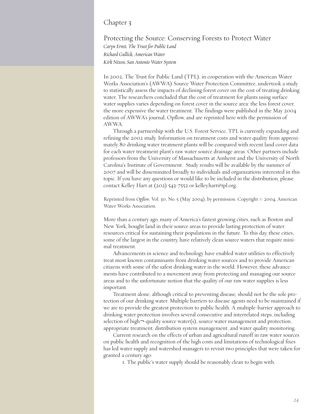## Chapter 3

Protecting the Source: Conserving Forests to Protect Water *Caryn Ernst, The Trust for Public Land Richard Gullick, American Water Kirk Nixon, San Antonio Water System*

In 2002, The Trust for Public Land (TPL), in cooperation with the American Water Works Association's (AWWA) Source Water Protection Committee, undertook a study to statistically assess the impacts of declining forest cover on the cost of treating drinking water. The researchers concluded that the cost of treatment for plants using surface water supplies varies depending on forest cover in the source area: the less forest cover, the more expensive the water treatment. The findings were published in the May 2004 edition of AWWA's journal, Opflow, and are reprinted here with the permission of AWWA.

Through a partnership with the U.S. Forest Service, TPL is currently expanding and refining the 2002 study. Information on treatment costs and water quality from approximately 80 drinking water treatment plants will be compared with recent land cover data for each water treatment plant's raw water source drainage areas. Other partners include professors from the University of Massachusetts at Amherst and the University of North Carolina's Institute of Government. Study results will be available by the summer of 2007 and will be disseminated broadly to individuals and organizations interested in this topic. If you have any questions or would like to be included in the distribution, please contact Kelley Hart at (202) 543-7552 or kelley.hart@tpl.org.

Reprinted from *Opflow*, Vol. 30, No. 5 (May 2004), by permission. Copyright © 2004, American Water Works Association.

More than a century ago, many of America's fastest growing cities, such as Boston and New York, bought land in their source areas to provide lasting protection of water resources critical for sustaining their populations in the future. To this day, these cities, some of the largest in the country, have relatively clean source waters that require minimal treatment.

Advancements in science and technology have enabled water utilities to effectively treat most known contaminants from drinking water sources and to provide American citizens with some of the safest drinking water in the world. However, these advancements have contributed to a movement away from protecting and managing our source areas and to the unfortunate notion that the quality of our raw water supplies is less important.

Treatment alone, although critical to preventing disease, should not be the sole protection of our drinking water. Multiple barriers to disease agents need to be maintained if we are to provide the greatest protection to public health. A multiple-barrier approach to drinking water protection involves several consecutive and interrelated steps, including selection of high $\neg$ -quality source water(s), source water management and protection, appropriate treatment, distribution system management, and water quality monitoring.

Current research on the effects of urban and agricultural runoff in raw water sources on public health and recognition of the high costs and limitations of technological fixes has led water supply and watershed managers to revisit two principles that were taken for granted a century ago:

1. The public's water supply should be reasonably clean to begin with.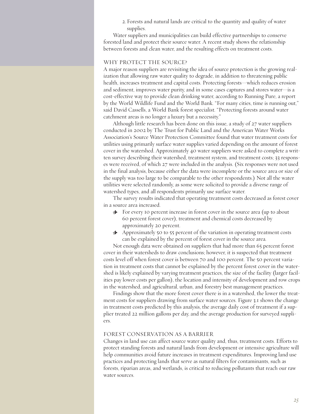2. Forests and natural lands are critical to the quantity and quality of water supplies.

Water suppliers and municipalities can build effective partnerships to conserve forested land and protect their source water. A recent study shows the relationship between forests and clean water, and the resulting effects on treatment costs.

#### WHY PROTECT THE SOURCE?

A major reason suppliers are revisiting the idea of source protection is the growing realization that allowing raw water quality to degrade, in addition to threatening public health, increases treatment and capital costs. Protecting forests—which reduces erosion and sediment, improves water purity, and in some cases captures and stores water—is a cost-effective way to provide clean drinking water, according to Running Pure, a report by the World Wildlife Fund and the World Bank. "For many cities, time is running out," said David Cassells, a World Bank forest specialist. "Protecting forests around water catchment areas is no longer a luxury but a necessity."

Although little research has been done on this issue, a study of 27 water suppliers conducted in 2002 by The Trust for Public Land and the American Water Works Association's Source Water Protection Committee found that water treatment costs for utilities using primarily surface water supplies varied depending on the amount of forest cover in the watershed. Approximately 40 water suppliers were asked to complete a written survey describing their watershed, treatment system, and treatment costs; 33 responses were received, of which 27 were included in the analysis. (Six responses were not used in the final analysis, because either the data were incomplete or the source area or size of the supply was too large to be comparable to the other respondents.) Not all the water utilities were selected randomly, as some were solicited to provide a diverse range of watershed types, and all respondents primarily use surface water.

The survey results indicated that operating treatment costs decreased as forest cover in a source area increased.

- > For every 10 percent increase in forest cover in the source area (up to about 60 percent forest cover), treatment and chemical costs decreased by approximately 20 percent.
- > Approximately 50 to 55 percent of the variation in operating treatment costs can be explained by the percent of forest cover in the source area.

Not enough data were obtained on suppliers that had more than 65 percent forest cover in their watersheds to draw conclusions; however, it is suspected that treatment costs level off when forest cover is between 70 and 100 percent. The 50 percent variation in treatment costs that cannot be explained by the percent forest cover in the watershed is likely explained by varying treatment practices, the size of the facility (larger facilities pay lower costs per gallon), the location and intensity of development and row crops in the watershed, and agricultural, urban, and forestry best management practices.

Findings show that the more forest cover there is in a watershed, the lower the treatment costs for suppliers drawing from surface water sources. Figure 3.1 shows the change in treatment costs predicted by this analysis, the average daily cost of treatment if a supplier treated 22 million gallons per day, and the average production for surveyed suppliers.

#### FOREST CONSERVATION AS A BARRIER

Changes in land use can affect source water quality and, thus, treatment costs. Efforts to protect standing forests and natural lands from development or intensive agriculture will help communities avoid future increases in treatment expenditures. Improving land use practices and protecting lands that serve as natural filters for contaminants, such as forests, riparian areas, and wetlands, is critical to reducing pollutants that reach our raw water sources.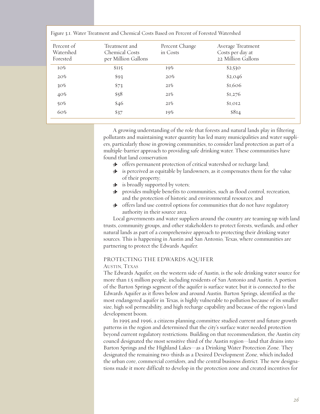| Percent of<br>Watershed<br>Forested | Treatment and<br>Chemical Costs<br>per Million Gallons | Percent Change<br>in Costs | Average Treatment<br>Costs per day at<br>22 Million Gallons |
|-------------------------------------|--------------------------------------------------------|----------------------------|-------------------------------------------------------------|
| IO%                                 | \$115                                                  | 19%                        | \$2,530                                                     |
| 20%                                 | \$93                                                   | 20%                        | \$2,046                                                     |
| $30\%$                              | \$73                                                   | 21%                        | \$1,606                                                     |
| 40%                                 | \$58                                                   | 21%                        | \$1,276                                                     |
| 50%                                 | \$46                                                   | 2I%                        | \$I, OI2                                                    |
| 60%                                 | \$37                                                   | I9%                        | \$8I4                                                       |

Figure 3.1. Water Treatment and Chemical Costs Based on Percent of Forested Watershed

A growing understanding of the role that forests and natural lands play in filtering pollutants and maintaining water quantity has led many municipalities and water suppliers, particularly those in growing communities, to consider land protection as part of a multiple-barrier approach to providing safe drinking water. These communities have found that land conservation

- > offers permanent protection of critical watershed or recharge land;
- $\cdot \bullet$  is perceived as equitable by landowners, as it compensates them for the value of their property;
- > is broadly supported by voters;
- > provides multiple benefits to communities, such as flood control, recreation, and the protection of historic and environmental resources; and
- > offers land use control options for communities that do not have regulatory authority in their source area.

Local governments and water suppliers around the country are teaming up with land trusts, community groups, and other stakeholders to protect forests, wetlands, and other natural lands as part of a comprehensive approach to protecting their drinking water sources. This is happening in Austin and San Antonio, Texas, where communities are partnering to protect the Edwards Aquifer.

#### PROTECTING THE EDWARDS AQUIFER

#### AUSTIN, TEXAS

The Edwards Aquifer, on the western side of Austin, is the sole drinking water source for more than 1.5 million people, including residents of San Antonio and Austin. A portion of the Barton Springs segment of the aquifer is surface water, but it is connected to the Edwards Aquifer as it flows below and around Austin. Barton Springs, identified as the most endangered aquifer in Texas, is highly vulnerable to pollution because of its smaller size, high soil permeability, and high recharge capability and because of the region's land development boom.

In 1995 and 1996, a citizens planning committee studied current and future growth patterns in the region and determined that the city's surface water needed protection beyond current regulatory restrictions. Building on that recommendation, the Austin city council designated the most sensitive third of the Austin region—land that drains into Barton Springs and the Highland Lakes—as a Drinking Water Protection Zone. They designated the remaining two-thirds as a Desired Development Zone, which included the urban core, commercial corridors, and the central business district. The new designations made it more difficult to develop in the protection zone and created incentives for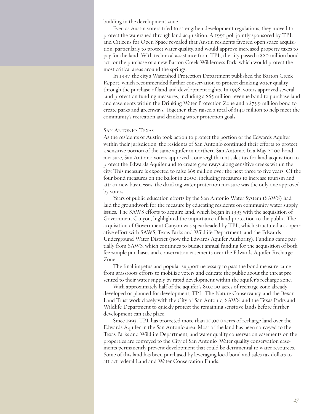building in the development zone.

Even as Austin voters tried to strengthen development regulations, they moved to protect the watershed through land acquisition. A 1991 poll jointly sponsored by TPL and Citizens for Open Space revealed that Austin residents favored open space acquisition, particularly to protect water quality, and would approve increased property taxes to pay for the land. With technical assistance from TPL, the city passed a \$20 million bond act for the purchase of a new Barton Creek Wilderness Park, which would protect the most critical areas around the springs.

In 1997, the city's Watershed Protection Department published the Barton Creek Report, which recommended further conservation to protect drinking water quality through the purchase of land and development rights. In 1998, voters approved several land protection funding measures, including a \$65 million revenue bond to purchase land and easements within the Drinking Water Protection Zone and a \$75.9 million bond to create parks and greenways. Together, they raised a total of \$140 million to help meet the community's recreation and drinking water protection goals.

#### SAN ANTONIO, TEXAS

As the residents of Austin took action to protect the portion of the Edwards Aquifer within their jurisdiction, the residents of San Antonio continued their efforts to protect a sensitive portion of the same aquifer in northern San Antonio. In a May 2000 bond measure, San Antonio voters approved a one-eighth cent sales tax for land acquisition to protect the Edwards Aquifer and to create greenways along sensitive creeks within the city. This measure is expected to raise \$65 million over the next three to five years. Of the four bond measures on the ballot in 2000, including measures to increase tourism and attract new businesses, the drinking water protection measure was the only one approved by voters.

Years of public education efforts by the San Antonio Water System (SAWS) had laid the groundwork for the measure by educating residents on community water supply issues. The SAWS efforts to acquire land, which began in 1993 with the acquisition of Government Canyon, highlighted the importance of land protection to the public. The acquisition of Government Canyon was spearheaded by TPL, which structured a cooperative effort with SAWS, Texas Parks and Wildlife Department, and the Edwards Underground Water District (now the Edwards Aquifer Authority). Funding came partially from SAWS, which continues to budget annual funding for the acquisition of both fee-simple purchases and conservation easements over the Edwards Aquifer Recharge Zone.

The final impetus and popular support necessary to pass the bond measure came from grassroots efforts to mobilize voters and educate the public about the threat presented to their water supply by rapid development within the aquifer's recharge zone.

With approximately half of the aquifer's 80,000 acres of recharge zone already developed or planned for development, TPL, The Nature Conservancy, and the Bexar Land Trust work closely with the City of San Antonio, SAWS, and the Texas Parks and Wildlife Department to quickly protect the remaining sensitive lands before further development can take place.

Since 1993, TPL has protected more than 10,000 acres of recharge land over the Edwards Aquifer in the San Antonio area. Most of the land has been conveyed to the Texas Parks and Wildlife Department, and water quality conservation easements on the properties are conveyed to the City of San Antonio. Water quality conservation easements permanently prevent development that could be detrimental to water resources. Some of this land has been purchased by leveraging local bond and sales tax dollars to attract federal Land and Water Conservation Funds.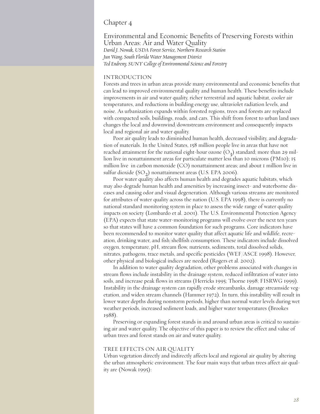## Chapter 4

Environmental and Economic Benefits of Preserving Forests within Urban Areas: Air and Water Quality *David J. Nowak, USDA Forest Service, Northern Research Station Jun Wang, South Florida Water Management District Ted Endreny, SUNY College of Environmental Science and Forestry*

#### INTRODUCTION

Forests and trees in urban areas provide many environmental and economic benefits that can lead to improved environmental quality and human health. These benefits include improvements in air and water quality, richer terrestrial and aquatic habitat, cooler air temperatures, and reductions in building energy use, ultraviolet radiation levels, and noise. As urbanization expands within forested regions, trees and forests are replaced with compacted soils, buildings, roads, and cars. This shift from forest to urban land uses changes the local and downwind/downstream environment and consequently impacts local and regional air and water quality.

Poor air quality leads to diminished human health, decreased visibility, and degradation of materials. In the United States, 158 million people live in areas that have not reached attainment for the national eight-hour ozone  $(O_2)$  standard; more than 29 million live in nonattainment areas for particulate matter less than 10 microns (PM10); 15 million live in carbon monoxide (CO) nonattainment areas; and about 1 million live in sulfur dioxide  $(SO<sub>2</sub>)$  nonattainment areas (U.S. EPA 2006).

Poor water quality also affects human health and degrades aquatic habitats, which may also degrade human health and amenities by increasing insect- and waterborne diseases and causing odor and visual degeneration. Although various streams are monitored for attributes of water quality across the nation (U.S. EPA 1998), there is currently no national standard monitoring system in place to assess the wide range of water quality impacts on society (Lombardo et al. 2001). The U.S. Environmental Protection Agency (EPA) expects that state water-monitoring programs will evolve over the next ten years so that states will have a common foundation for such programs. Core indicators have been recommended to monitor water quality that affect aquatic life and wildlife, recreation, drinking water, and fish/shellfish consumption. These indicators include dissolved oxygen, temperature, pH, stream flow, nutrients, sediments, total dissolved solids, nitrates, pathogens, trace metals, and specific pesticides (WEF/ASCE 1998). However, other physical and biological indices are needed (Rogers et al. 2002).

In addition to water quality degradation, other problems associated with changes in stream flows include instability in the drainage system, reduced infiltration of water into soils, and increase peak flows in streams (Herricks 1995; Thorne 1998; FISRWG 1999). Instability in the drainage system can rapidly erode streambanks, damage streamside vegetation, and widen stream channels (Hammer 1972). In turn, this instability will result in lower water depths during nonstorm periods, higher than normal water levels during wet weather periods, increased sediment loads, and higher water temperatures (Brookes 1988).

Preserving or expanding forest stands in and around urban areas is critical to sustaining air and water quality. The objective of this paper is to review the effect and value of urban trees and forest stands on air and water quality.

#### TREE EFFECTS ON AIR QUALITY

Urban vegetation directly and indirectly affects local and regional air quality by altering the urban atmospheric environment. The four main ways that urban trees affect air quality are (Nowak 1995):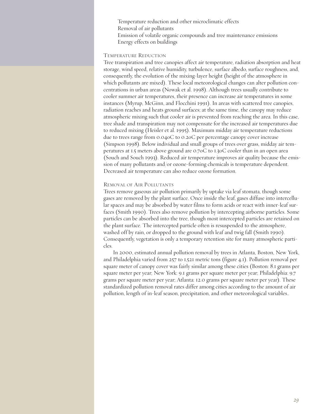Temperature reduction and other microclimatic effects Removal of air pollutants Emission of volatile organic compounds and tree maintenance emissions Energy effects on buildings

#### TEMPERATURE REDUCTION

Tree transpiration and tree canopies affect air temperature, radiation absorption and heat storage, wind speed, relative humidity, turbulence, surface albedo, surface roughness, and, consequently, the evolution of the mixing-layer height (height of the atmosphere in which pollutants are mixed). These local meteorological changes can alter pollution concentrations in urban areas (Nowak et al. 1998). Although trees usually contribute to cooler summer air temperatures, their presence can increase air temperatures in some instances (Myrup, McGinn, and Flocchini 1991). In areas with scattered tree canopies, radiation reaches and heats ground surfaces; at the same time, the canopy may reduce atmospheric mixing such that cooler air is prevented from reaching the area. In this case, tree shade and transpiration may not compensate for the increased air temperatures due to reduced mixing (Heisler et al. 1995). Maximum midday air temperature reductions due to trees range from 0.04oC to 0.2oC per percentage canopy cover increase (Simpson 1998). Below individual and small groups of trees over grass, midday air temperatures at 1.5 meters above ground are 0.7oC to 1.3oC cooler than in an open area (Souch and Souch 1993). Reduced air temperature improves air quality because the emission of many pollutants and/or ozone-forming chemicals is temperature dependent. Decreased air temperature can also reduce ozone formation.

#### REMOVAL OF AIR POLLUTANTS

Trees remove gaseous air pollution primarily by uptake via leaf stomata, though some gases are removed by the plant surface. Once inside the leaf, gases diffuse into intercellular spaces and may be absorbed by water films to form acids or react with inner-leaf surfaces (Smith 1990). Trees also remove pollution by intercepting airborne particles. Some particles can be absorbed into the tree, though most intercepted particles are retained on the plant surface. The intercepted particle often is resuspended to the atmosphere, washed off by rain, or dropped to the ground with leaf and twig fall (Smith 1990). Consequently, vegetation is only a temporary retention site for many atmospheric particles.

In 2000, estimated annual pollution removal by trees in Atlanta, Boston, New York, and Philadelphia varied from 257 to 1,521 metric tons (figure 4.1). Pollution removal per square meter of canopy cover was fairly similar among these cities (Boston: 8.1 grams per square meter per year; New York: 9.1 grams per square meter per year; Philadelphia: 9.7 grams per square meter per year; Atlanta: 12.0 grams per square meter per year). These standardized pollution removal rates differ among cities according to the amount of air pollution, length of in-leaf season, precipitation, and other meteorological variables..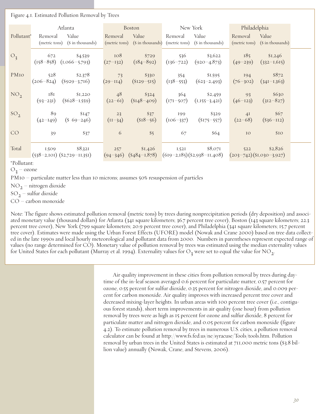Figure 4.1. Estimated Pollution Removal by Trees

|                 |                  | Atlanta                                   |                   | Boston                 |                      | New York                                                                                          | Philadelphia        |                                          |
|-----------------|------------------|-------------------------------------------|-------------------|------------------------|----------------------|---------------------------------------------------------------------------------------------------|---------------------|------------------------------------------|
| Pollutant*      | Removal          | Value<br>(metric tons) (\$ in thousands)  | Removal           | Value                  | Removal              | Value<br>(metric tons) (\$ in thousands) (metric tons) (\$ in thousands)                          | Removal             | Value<br>(metric tons) (\$ in thousands) |
| $O_3$           | 672              | \$4,539<br>$(158-858)$ $(1,066-5,793)$    | 108<br>$(27-132)$ | \$729<br>$(184 - 892)$ | 536<br>$(136 - 722)$ | $\$3,622$<br>$(920 - 4, 873)$                                                                     | 185<br>$(49-239)$   | \$1,246<br>$(332 - 1, 615)$              |
| PMIO            | 528              | \$2,378<br>$(206-824)$ $(8929-3716)$      | 73<br>$(29-114)$  | \$330<br>$(SI29-5I5)$  | 354                  | \$1,595<br>$(138-553)$ $(623-2,493)$                                                              | 194<br>$(76 - 302)$ | \$872<br>$(34I-1,363)$                   |
| NO <sub>2</sub> | 181              | \$I,22O<br>$(93-231)$ $(6628-1,559)$      | 48<br>$(22-61)$   | \$324<br>$(SI48-409)$  |                      | 364 \$2,459<br>$(171-507)$ $(1,155-3,421)$                                                        | 93<br>$(46-123)$    | \$630<br>$(312 - 827)$                   |
| SO <sub>2</sub> | 89<br>$(42-149)$ | \$147<br>$(8\ 69-246)$                    | 23<br>$(II-34)$   | \$37<br>$(S18-56)$     | 199<br>$(106 - 337)$ | \$329<br>$(S175-557)$                                                                             | 4I<br>$(22-68)$     | \$67<br>$(S36-112)$                      |
| CO              | 39               | \$37                                      | 6                 | \$5                    | 67                   | \$64                                                                                              | IO                  | \$10                                     |
| Total           | 1,509            | \$8,321<br>$(538-2,101)$ $(2,729-11,351)$ | 257               | \$I,426                | I,52I                | \$8,071<br>$(94-346)$ $(8484-1,878)$ $(619-2,185)$ $(82,938-11,408)$ $(203-742)$ $(81,030-3,927)$ | 522                 | \$2,826                                  |

\*Pollutant:

 $O_2$  – ozone

PM10 – particulate matter less than 10 microns; assumes 50% resuspension of particles

 $NO<sub>2</sub>$  – nitrogen dioxide

 $SO<sub>2</sub>$  – sulfur dioxide

CO – carbon monoxide

Note: The figure shows estimated pollution removal (metric tons) by trees during nonprecipitation periods (dry deposition) and associated monetary value (thousand dollars) for Atlanta (341 square kilometers; 36.7 percent tree cover), Boston (143 square kilometers; 22.3 percent tree cover), New York (799 square kilometers; 20.9 percent tree cover), and Philadelphia (341 square kilometers; 15.7 percent tree cover). Estimates were made using the Urban Forest Effects (UFORE) model (Nowak and Crane 2000) based on tree data collected in the late 1990s and local hourly meteorological and pollutant data from 2000. Numbers in parentheses represent expected range of values (no range determined for CO). Monetary value of pollution removal by trees was estimated using the median externality values for United States for each pollutant (Murray et al. 1994). Externality values for O<sub>2</sub> were set to equal the value for NO<sub>2</sub>.

> Air quality improvement in these cities from pollution removal by trees during daytime of the in-leaf season averaged 0.6 percent for particulate matter, 0.57 percent for ozone, 0.55 percent for sulfur dioxide, 0.35 percent for nitrogen dioxide, and 0.009 percent for carbon monoxide. Air quality improves with increased percent tree cover and decreased mixing-layer heights. In urban areas with 100 percent tree cover (i.e., contiguous forest stands), short term improvements in air quality (one hour) from pollution removal by trees were as high as 15 percent for ozone and sulfur dioxide, 8 percent for particulate matter and nitrogen dioxide, and 0.05 percent for carbon monoxide (figure 4.2). To estimate pollution removal by trees in numerous U.S. cities, a pollution removal calculator can be found at http://www.fs.fed.us/ne/syracuse/Tools/tools.htm. Pollution removal by urban trees in the United States is estimated at 711,000 metric tons (\$3.8 billion value) annually (Nowak, Crane, and Stevens, 2006).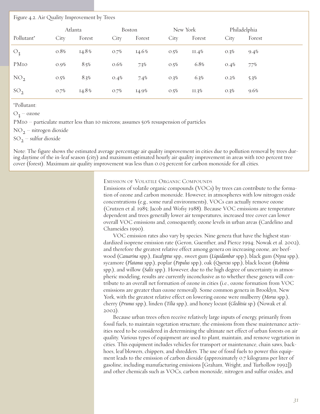#### Figure 4.2. Air Quality Improvement by Trees

|                 | Atlanta |        | Boston |          | New York |        | Philadelphia |        |
|-----------------|---------|--------|--------|----------|----------|--------|--------------|--------|
| Pollutant*      | City    | Forest | City   | Forest   | City     | Forest | City         | Forest |
| $O_3$           | 0.8%    | 14.8%  | O.7%   | $14.6\%$ | O.5%     | 11.4%  | O.3%         | 9.4%   |
| PMIO            | 0.9%    | 8.5%   | 0.6%   | $7.3\%$  | O.5%     | 6.8%   | 0.4%         | 7.7%   |
| NO <sub>2</sub> | O.5%    | 8.3%   | 0.4%   | 7.4%     | O.3%     | 6.3%   | O.2%         | 5.3%   |
| SO <sub>2</sub> | O.7%    | 14.8%  | O.7%   | 14.9%    | O.5%     | II.3%  | O.3%         | 9.6%   |

\*Pollutant:

 $O_2$  – ozone

PM10 – particulate matter less than 10 microns; assumes 50% resuspension of particles

 $NO<sub>2</sub>$  – nitrogen dioxide

 $SO_2$  – sulfur dioxide

Note: The figure shows the estimated average percentage air quality improvement in cities due to pollution removal by trees during daytime of the in-leaf season (city) and maximum estimated hourly air quality improvement in areas with 100 percent tree cover (forest). Maximum air quality improvement was less than 0.03 percent for carbon monoxide for all cities.

EMISSION OF VOLATILE ORGANIC COMPOUNDS

Emissions of volatile organic compounds (VOCs) by trees can contribute to the formation of ozone and carbon monoxide. However, in atmospheres with low nitrogen oxide concentrations (e.g., some rural environments), VOCs can actually remove ozone (Crutzen et al. 1985; Jacob and Wofsy 1988). Because VOC emissions are temperature dependent and trees generally lower air temperatures, increased tree cover can lower overall VOC emissions and, consequently, ozone levels in urban areas (Cardelino and Chameides 1990).

VOC emission rates also vary by species. Nine genera that have the highest standardized isoprene emission rate (Geron, Guenther, and Pierce 1994; Nowak et al. 2002), and therefore the greatest relative effect among genera on increasing ozone, are beefwood (*Casuarina* spp.), *Eucalyptus* spp., sweet gum (*Liquidambar* spp.), black gum (*Nyssa* spp.), sycamore (*Platanus* spp.), poplar (*Populus* spp.), oak (*Quercus* spp.), black locust (*Robinia* spp.), and willow (*Salix* spp.). However, due to the high degree of uncertainty in atmospheric modeling, results are currently inconclusive as to whether these genera will contribute to an overall net formation of ozone in cities (i.e., ozone formation from VOC emissions are greater than ozone removal). Some common genera in Brooklyn, New York, with the greatest relative effect on lowering ozone were mulberry (*Morus* spp.), cherry (*Prunus* spp.), linden (*Tilia* spp.), and honey locust (*Gleditsia* sp.) (Nowak et al. 2002).

Because urban trees often receive relatively large inputs of energy, primarily from fossil fuels, to maintain vegetation structure, the emissions from these maintenance activities need to be considered in determining the ultimate net effect of urban forests on air quality. Various types of equipment are used to plant, maintain, and remove vegetation in cities. This equipment includes vehicles for transport or maintenance, chain saws, backhoes, leaf blowers, chippers, and shredders. The use of fossil fuels to power this equipment leads to the emission of carbon dioxide (approximately 0.7 kilograms per liter of gasoline, including manufacturing emissions [Graham, Wright, and Turhollow 1992]) and other chemicals such as VOCs, carbon monoxide, nitrogen and sulfur oxides, and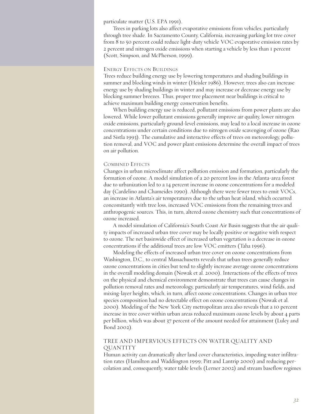particulate matter (U.S. EPA 1991).

Trees in parking lots also affect evaporative emissions from vehicles, particularly through tree shade. In Sacramento County, California, increasing parking lot tree cover from 8 to 50 percent could reduce light-duty vehicle VOC evaporative emission rates by 2 percent and nitrogen oxide emissions when starting a vehicle by less than 1 percent (Scott, Simpson, and McPherson, 1999).

#### ENERGY EFFECTS ON BUILDINGS

Trees reduce building energy use by lowering temperatures and shading buildings in summer and blocking winds in winter (Heisler 1986). However, trees also can increase energy use by shading buildings in winter and may increase or decrease energy use by blocking summer breezes. Thus, proper tree placement near buildings is critical to achieve maximum building energy conservation benefits.

When building energy use is reduced, pollutant emissions from power plants are also lowered. While lower pollutant emissions generally improve air quality, lower nitrogen oxide emissions, particularly ground-level emissions, may lead to a local increase in ozone concentrations under certain conditions due to nitrogen oxide scavenging of ozone (Rao and Sistla 1993). The cumulative and interactive effects of trees on meteorology, pollution removal, and VOC and power plant emissions determine the overall impact of trees on air pollution.

#### COMBINED EFFECTS

Changes in urban microclimate affect pollution emission and formation, particularly the formation of ozone. A model simulation of a 20 percent loss in the Atlanta-area forest due to urbanization led to a 14 percent increase in ozone concentrations for a modeled day (Cardelino and Chameides 1990). Although there were fewer trees to emit VOCs, an increase in Atlanta's air temperatures due to the urban heat island, which occurred concomitantly with tree loss, increased VOC emissions from the remaining trees and anthropogenic sources. This, in turn, altered ozone chemistry such that concentrations of ozone increased.

A model simulation of California's South Coast Air Basin suggests that the air quality impacts of increased urban tree cover may be locally positive or negative with respect to ozone. The net basinwide effect of increased urban vegetation is a decrease in ozone concentrations if the additional trees are low VOC emitters (Taha 1996).

Modeling the effects of increased urban tree cover on ozone concentrations from Washington, D.C., to central Massachusetts reveals that urban trees generally reduce ozone concentrations in cities but tend to slightly increase average ozone concentrations in the overall modeling domain (Nowak et al. 2000). Interactions of the effects of trees on the physical and chemical environment demonstrate that trees can cause changes in pollution removal rates and meteorology, particularly air temperatures, wind fields, and mixing-layer heights, which, in turn, affect ozone concentrations. Changes in urban tree species composition had no detectable effect on ozone concentrations (Nowak et al. 2000). Modeling of the New York City metropolitan area also reveals that a 10 percent increase in tree cover within urban areas reduced maximum ozone levels by about 4 parts per billion, which was about 37 percent of the amount needed for attainment (Luley and Bond 2002).

#### TREE AND IMPERVIOUS EFFECTS ON WATER QUALITY AND QUANTITY

Human activity can dramatically alter land cover characteristics, impeding water infiltration rates (Hamilton and Waddington 1999; Pitt and Lantrip 2000) and reducing percolation and, consequently, water table levels (Lerner 2002) and stream baseflow regimes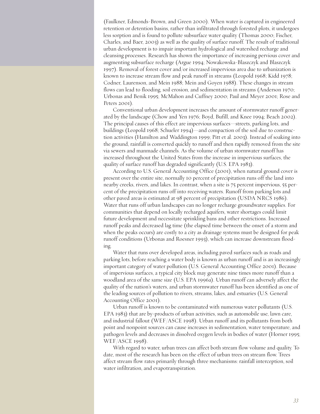(Faulkner, Edmonds-Brown, and Green 2000). When water is captured in engineered retention or detention basins, rather than infiltrated through forested plots, it undergoes less sorption and is found to pollute subsurface water quality (Thomas 2000; Fischer, Charles, and Baer, 2003) as well as the quality of surface runoff. The result of traditional urban development is to impair important hydrological and watershed recharge and cleansing processes. Research has shown the importance of increasing pervious cover and augmenting subsurface recharge (Argue 1994; Nowakowska-Blaszczyk and Blaszczyk 1997). Removal of forest cover and/or increased impervious area due to urbanization is known to increase stream flow and peak runoff in streams (Leopold 1968; Kidd 1978; Codner, Laurenson, and Mein 1988; Mein and Goyen 1988). These changes in stream flows can lead to flooding, soil erosion, and sedimentation in streams (Anderson 1970; Urbonas and Benik 1995; McMahon and Cuffney 2000; Paul and Meyer 2001; Rose and Peters 2001).

Conventional urban development increases the amount of stormwater runoff generated by the landscape (Chow and Yen 1976; Boyd, Bufill, and Knee 1994; Beach 2002). The principal causes of this effect are impervious surfaces—streets, parking lots, and buildings (Leopold 1968; Schueler 1994)—and compaction of the soil due to construction activities (Hamilton and Waddington 1999; Pitt et al. 2003). Instead of soaking into the ground, rainfall is converted quickly to runoff and then rapidly removed from the site via sewers and manmade channels. As the volume of urban stormwater runoff has increased throughout the United States from the increase in impervious surfaces, the quality of surface runoff has degraded significantly (U.S. EPA 1983).

According to U.S. General Accounting Office (2001), when natural ground cover is present over the entire site, normally 10 percent of precipitation runs off the land into nearby creeks, rivers, and lakes. In contrast, when a site is 75 percent impervious, 55 percent of the precipitation runs off into receiving waters. Runoff from parking lots and other paved areas is estimated at 98 percent of precipitation (USDA NRCS 1986). Water that runs off urban landscapes can no longer recharge groundwater supplies. For communities that depend on locally recharged aquifers, water shortages could limit future development and necessitate sprinkling bans and other restrictions. Increased runoff peaks and decreased lag time (the elapsed time between the onset of a storm and when the peaks occurs) are costly to a city as drainage systems must be designed for peak runoff conditions (Urbonas and Roesner 1993), which can increase downstream flooding.

Water that runs over developed areas, including paved surfaces such as roads and parking lots, before reaching a water body is known as urban runoff and is an increasingly important category of water pollution (U.S. General Accounting Office 2001). Because of impervious surfaces, a typical city block may generate nine times more runoff than a woodland area of the same size (U.S. EPA 1996a). Urban runoff can adversely affect the quality of the nation's waters, and urban stormwater runoff has been identified as one of the leading sources of pollution to rivers, streams, lakes, and estuaries (U.S. General Accounting Office 2001).

Urban runoff is known to be contaminated with numerous water pollutants (U.S. EPA 1983) that are by-products of urban activities, such as automobile use, lawn care, and industrial fallout (WEF/ASCE 1998). Urban runoff and its pollutants from both point and nonpoint sources can cause increases in sedimentation, water temperature, and pathogen levels and decreases in dissolved oxygen levels in bodies of water (Horner 1995; WEF/ASCE 1998).

With regard to water, urban trees can affect both stream flow volume and quality. To date, most of the research has been on the effect of urban trees on stream flow. Trees affect stream flow rates primarily through three mechanisms: rainfall interception, soil water infiltration, and evapotranspiration.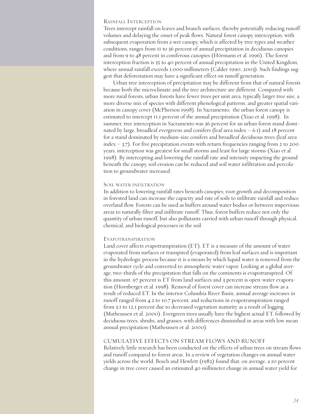#### RAINFALL INTERCEPTION

Trees intercept rainfall on leaves and branch surfaces, thereby potentially reducing runoff volumes and delaying the onset of peak flows. Natural forest canopy interception, with subsequent evaporation from a wet canopy, which is affected by tree types and weather conditions, ranges from 11 to 36 percent of annual precipitation in deciduous canopies and from 9 to 48 percent in coniferous canopies (Hörmann et al. 1996). The forest interception fraction is 35 to 40 percent of annual precipitation in the United Kingdom, where annual rainfall exceeds 1,000 millimeters (Calder 1990, 2003). Such findings suggest that deforestation may have a significant effect on runoff generation.

Urban tree interception of precipitation may be different from that of natural forests because both the microclimate and the tree architecture are different. Compared with more rural forests, urban forests have fewer trees per unit area, typically larger tree size, a more diverse mix of species with different phenological patterns, and greater spatial variation in canopy cover (McPherson 1998). In Sacramento, the urban forest canopy is estimated to intercept 11.1 percent of the annual precipitation (Xiao et al. 1998). In summer, tree interception in Sacramento was 36 percent for an urban forest stand dominated by large, broadleaf evergreens and conifers (leaf area index  $= 6.1$ ) and 18 percent for a stand dominated by medium-size conifers and broadleaf deciduous trees (leaf area index  $=$  3.7). For five precipitation events with return frequencies ranging from 2 to 200 years, interception was greatest for small storms and least for large storms (Xiao et al. 1998). By intercepting and lowering the rainfall rate and intensity impacting the ground beneath the canopy, soil erosion can be reduced and soil water infiltration and percolation to groundwater increased.

#### SOIL WATER INFILTRATION

In addition to lowering rainfall rates beneath canopies, root growth and decomposition in forested land can increase the capacity and rate of soils to infiltrate rainfall and reduce overland flow. Forests can be used as buffers around water bodies or between impervious areas to naturally filter and infiltrate runoff. Thus, forest buffers reduce not only the quantity of urban runoff, but also pollutants carried with urban runoff through physical, chemical, and biological processes in the soil.

#### EVAPOTRANSPIRATION

Land cover affects evapotranspiration (ET). ET is a measure of the amount of water evaporated from surfaces or transpired (evaporated) from leaf surfaces and is important in the hydrologic process because it is a means by which liquid water is removed from the groundwater cycle and converted to atmospheric water vapor. Looking at a global average, two-thirds of the precipitation that falls on the continents is evapotranspired. Of this amount, 97 percent is ET from land surfaces and 3 percent is open-water evaporation (Hornberger et al. 1998). Removal of forest cover can increase stream flow as a result of reduced ET. In the interior Columbia River Basin, annual average increases in runoff ranged from 4.2 to 10.7 percent, and reductions in evapotranspiration ranged from 3.1 to 12.1 percent due to decreased vegetation maturity as a result of logging (Matheussen et al. 2000). Evergreen trees usually have the highest actual ET, followed by deciduous trees, shrubs, and grasses, with differences diminished in areas with low mean annual precipitation (Matheussen et al. 2000).

#### CUMULATIVE EFFECTS ON STREAM FLOWS AND RUNOFF

Relatively little research has been conducted on the effects of urban trees on stream flows and runoff compared to forest areas. In a review of vegetation changes on annual water yields across the world, Bosch and Hewlett (1982) found that, on average, a 10 percent change in tree cover caused an estimated 40 millimeter change in annual water yield for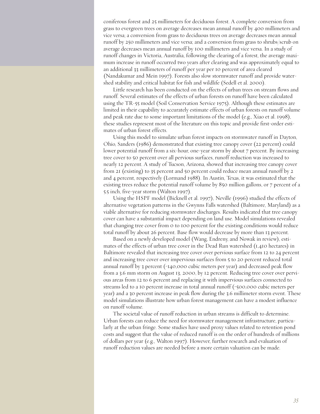coniferous forest and 25 millimeters for deciduous forest. A complete conversion from grass to evergreen trees on average decreases mean annual runoff by 400 millimeters and vice versa; a conversion from grass to deciduous trees on average decreases mean annual runoff by 250 millimeters and vice versa; and a conversion from grass to shrubs/scrub on average decreases mean annual runoff by 100 millimeters and vice versa. In a study of runoff changes in Victoria, Australia, following the clearing of a forest, the average maximum increase in runoff occurred two years after clearing and was approximately equal to an additional 33 millimeters of runoff per year per 10 percent of area cleared (Nandakumar and Mein 1997). Forests also slow stormwater runoff and provide watershed stability and critical habitat for fish and wildlife (Sedell et al. 2000).

Little research has been conducted on the effects of urban trees on stream flows and runoff. Several estimates of the effects of urban forests on runoff have been calculated using the TR-55 model (Soil Conservation Service 1975). Although these estimates are limited in their capability to accurately estimate effects of urban forests on runoff volume and peak rate due to some important limitations of the model (e.g., Xiao et al. 1998), these studies represent most of the literature on this topic and provide first-order estimates of urban forest effects.

Using this model to simulate urban forest impacts on stormwater runoff in Dayton, Ohio, Sanders (1986) demonstrated that existing tree canopy cover (22 percent) could lower potential runoff from a six-hour, one-year storm by about 7 percent. By increasing tree cover to 50 percent over all pervious surfaces, runoff reduction was increased to nearly 12 percent. A study of Tucson, Arizona, showed that increasing tree canopy cover from 21 (existing) to 35 percent and 50 percent could reduce mean annual runoff by 2 and 4 percent, respectively (Lormand 1988). In Austin, Texas, it was estimated that the existing trees reduce the potential runoff volume by 850 million gallons, or 7 percent of a 5.5 inch, five-year storm (Walton 1997).

Using the HSPF model (Bicknell et al. 1997), Neville (1996) studied the effects of alternative vegetation patterns in the Gwynns Falls watershed (Baltimore, Maryland) as a viable alternative for reducing stormwater discharges. Results indicated that tree canopy cover can have a substantial impact depending on land use. Model simulations revealed that changing tree cover from 0 to 100 percent for the existing conditions would reduce total runoff by about 26 percent. Base flow would decrease by more than 13 percent.

Based on a newly developed model (Wang, Endreny, and Nowak in review), estimates of the effects of urban tree cover in the Dead Run watershed (1,410 hectares) in Baltimore revealed that increasing tree cover over pervious surface from 12 to 24 percent and increasing tree cover over impervious surfaces from 5 to 20 percent reduced total annual runoff by 3 percent (~140,000 cubic meters per year) and decreased peak flow from a 3.6 mm storm on August 13, 2000, by 12 percent. Reducing tree cover over pervious areas from 12 to 6 percent and replacing it with impervious surfaces connected to streams led to a 10 percent increase in total annual runoff (~500,000 cubic meters per year) and a 30 percent increase in peak flow during the 3.6 millimeter storm event. These model simulations illustrate how urban forest management can have a modest influence on runoff volume.

The societal value of runoff reduction in urban streams is difficult to determine. Urban forests can reduce the need for stormwater management infrastructure, particularly at the urban fringe. Some studies have used proxy values related to retention pond costs and suggest that the value of reduced runoff is on the order of hundreds of millions of dollars per year (e.g., Walton 1997). However, further research and evaluation of runoff reduction values are needed before a more certain valuation can be made.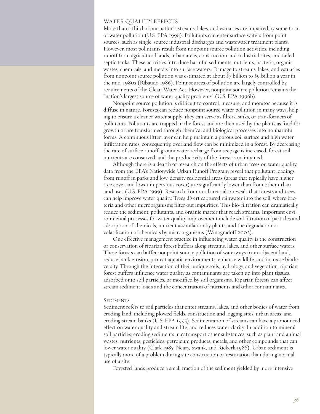#### WATER QUALITY EFFECTS

More than a third of our nation's streams, lakes, and estuaries are impaired by some form of water pollution (U.S. EPA 1998). Pollutants can enter surface waters from point sources, such as single-source industrial discharges and wastewater treatment plants. However, most pollutants result from nonpoint source pollution activities, including runoff from agricultural lands, urban areas, construction and industrial sites, and failed septic tanks. These activities introduce harmful sediments, nutrients, bacteria, organic wastes, chemicals, and metals into surface waters. Damage to streams, lakes, and estuaries from nonpoint source pollution was estimated at about \$7 billion to \$9 billion a year in the mid-1980s (Ribaudo 1986). Point sources of pollution are largely controlled by requirements of the Clean Water Act. However, nonpoint source pollution remains the "nation's largest source of water quality problems" (U.S. EPA 1996b).

Nonpoint source pollution is difficult to control, measure, and monitor because it is diffuse in nature. Forests can reduce nonpoint source water pollution in many ways, helping to ensure a cleaner water supply; they can serve as filters, sinks, or transformers of pollutants. Pollutants are trapped in the forest and are then used by the plants as food for growth or are transformed through chemical and biological processes into nonharmful forms. A continuous litter layer can help maintain a porous soil surface and high water infiltration rates; consequently, overland flow can be minimized in a forest. By decreasing the rate of surface runoff, groundwater recharge from seepage is increased, forest soil nutrients are conserved, and the productivity of the forest is maintained.

Although there is a dearth of research on the effects of urban trees on water quality, data from the EPA's Nationwide Urban Runoff Program reveal that pollutant loadings from runoff in parks and low-density residential areas (areas that typically have higher tree cover and lower impervious cover) are significantly lower than from other urban land uses (U.S. EPA 1999). Research from rural areas also reveals that forests and trees can help improve water quality. Trees divert captured rainwater into the soil, where bacteria and other microorganisms filter out impurities. This bio-filtration can dramatically reduce the sediment, pollutants, and organic matter that reach streams. Important environmental processes for water quality improvement include soil filtration of particles and adsorption of chemicals, nutrient assimilation by plants, and the degradation or volatilization of chemicals by microorganisms (Winogradoff 2002).

One effective management practice in influencing water quality is the construction or conservation of riparian forest buffers along streams, lakes, and other surface waters. These forests can buffer nonpoint source pollution of waterways from adjacent land, reduce bank erosion, protect aquatic environments, enhance wildlife, and increase biodiversity. Through the interaction of their unique soils, hydrology, and vegetation, riparian forest buffers influence water quality as contaminants are taken up into plant tissues, adsorbed onto soil particles, or modified by soil organisms. Riparian forests can affect stream sediment loads and the concentration of nutrients and other contaminants.

#### **SEDIMENTS**

Sediment refers to soil particles that enter streams, lakes, and other bodies of water from eroding land, including plowed fields, construction and logging sites, urban areas, and eroding stream banks (U.S. EPA 1995). Sedimentation of streams can have a pronounced effect on water quality and stream life, and reduces water clarity. In addition to mineral soil particles, eroding sediments may transport other substances, such as plant and animal wastes, nutrients, pesticides, petroleum products, metals, and other compounds that can lower water quality (Clark 1985; Neary, Swank, and Riekerk 1988). Urban sediment is typically more of a problem during site construction or restoration than during normal use of a site.

Forested lands produce a small fraction of the sediment yielded by more intensive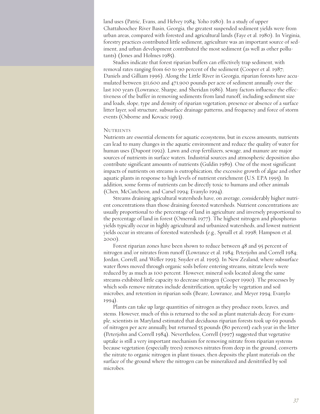land uses (Patric, Evans, and Helvey 1984; Yoho 1980). In a study of upper Chattahoochee River Basin, Georgia, the greatest suspended sediment yields were from urban areas, compared with forested and agricultural lands (Faye et al. 1980). In Virginia, forestry practices contributed little sediment, agriculture was an important source of sediment, and urban development contributed the most sediment (as well as other pollutants) (Jones and Holmes 1985).

Studies indicate that forest riparian buffers can effectively trap sediment, with removal rates ranging from 60 to 90 percent of the sediment (Cooper et al. 1987; Daniels and Gilliam 1996). Along the Little River in Georgia, riparian forests have accumulated between 311,600 and 471,900 pounds per acre of sediment annually over the last 100 years (Lowrance, Sharpe, and Sheridan 1986). Many factors influence the effectiveness of the buffer in removing sediments from land runoff, including sediment size and loads, slope, type and density of riparian vegetation, presence or absence of a surface litter layer, soil structure, subsurface drainage patterns, and frequency and force of storm events (Osborne and Kovacic 1993).

#### **NUTRIENTS**

Nutrients are essential elements for aquatic ecosystems, but in excess amounts, nutrients can lead to many changes in the aquatic environment and reduce the quality of water for human uses (Dupont 1992). Lawn and crop fertilizers, sewage, and manure are major sources of nutrients in surface waters. Industrial sources and atmospheric deposition also contribute significant amounts of nutrients (Guldin 1989). One of the most significant impacts of nutrients on streams is eutrophication, the excessive growth of algae and other aquatic plants in response to high levels of nutrient enrichment (U.S. EPA 1995). In addition, some forms of nutrients can be directly toxic to humans and other animals (Chen, McCutcheon, and Carsel 1994; Evanylo 1994).

Streams draining agricultural watersheds have, on average, considerably higher nutrient concentrations than those draining forested watersheds. Nutrient concentrations are usually proportional to the percentage of land in agriculture and inversely proportional to the percentage of land in forest (Omernik 1977). The highest nitrogen and phosphorus yields typically occur in highly agricultural and urbanized watersheds, and lowest nutrient yields occur in streams of forested watersheds (e.g., Spruill et al. 1998; Hampson et al. 2000).

Forest riparian zones have been shown to reduce between 48 and 95 percent of nitrogen and/or nitrates from runoff (Lowrance et al. 1984; Peterjohn and Correll 1984; Jordan, Correll, and Weller 1993; Snyder et al. 1995). In New Zealand, where subsurface water flows moved through organic soils before entering streams, nitrate levels were reduced by as much as 100 percent. However, mineral soils located along the same streams exhibited little capacity to decrease nitrogen (Cooper 1990). The processes by which soils remove nitrates include denitrification, uptake by vegetation and soil microbes, and retention in riparian soils (Beare, Lowrance, and Meyer 1994; Evanylo 1994).

Plants can take up large quantities of nitrogen as they produce roots, leaves, and stems. However, much of this is returned to the soil as plant materials decay. For example, scientists in Maryland estimated that deciduous riparian forests took up 69 pounds of nitrogen per acre annually, but returned 55 pounds (80 percent) each year in the litter (Peterjohn and Correll 1984). Nevertheless, Correll (1997) suggested that vegetative uptake is still a very important mechanism for removing nitrate from riparian systems because vegetation (especially trees) removes nitrates from deep in the ground, converts the nitrate to organic nitrogen in plant tissues, then deposits the plant materials on the surface of the ground where the nitrogen can be mineralized and denitrified by soil microbes.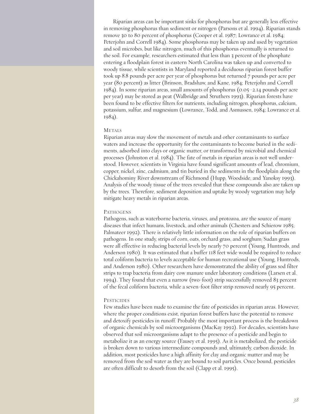Riparian areas can be important sinks for phosphorus but are generally less effective in removing phosphorus than sediment or nitrogen (Parsons et al. 1994). Riparian stands remove 30 to 80 percent of phosphorus (Cooper et al. 1987; Lowrance et al. 1984; Peterjohn and Correll 1984). Some phosphorus may be taken up and used by vegetation and soil microbes, but like nitrogen, much of this phosphorus eventually is returned to the soil. For example, researchers estimated that less than 3 percent of the phosphate entering a floodplain forest in eastern North Carolina was taken up and converted to woody tissue, while scientists in Maryland reported a deciduous riparian forest buffer took up 8.8 pounds per acre per year of phosphorus but returned 7 pounds per acre per year (80 percent) as litter (Brinson, Bradshaw, and Kane, 1984; Peterjohn and Correll 1984). In some riparian areas, small amounts of phosphorus (0.05–2.14 pounds per acre per year) may be stored as peat (Walbridge and Struthers 1993). Riparian forests have been found to be effective filters for nutrients, including nitrogen, phosphorus, calcium, potassium, sulfur, and magnesium (Lowrance, Todd, and Asmussen, 1984; Lowrance et al. 1984).

#### **METALS**

Riparian areas may slow the movement of metals and other contaminants to surface waters and increase the opportunity for the contaminants to become buried in the sediments, adsorbed into clays or organic matter, or transformed by microbial and chemical processes (Johnston et al. 1984). The fate of metals in riparian areas is not well understood. However, scientists in Virginia have found significant amounts of lead, chromium, copper, nickel, zinc, cadmium, and tin buried in the sediments in the floodplain along the Chickahominy River downstream of Richmond (Hupp, Woodside, and Yanoksy 1993). Analysis of the woody tissue of the trees revealed that these compounds also are taken up by the trees. Therefore, sediment deposition and uptake by woody vegetation may help mitigate heavy metals in riparian areas.

#### **PATHOGENS**

Pathogens, such as waterborne bacteria, viruses, and protozoa, are the source of many diseases that infect humans, livestock, and other animals (Chesters and Schierow 1985; Palmateer 1992). There is relatively little information on the role of riparian buffers on pathogens. In one study, strips of corn, oats, orchard grass, and sorghum/Sudan grass were all effective in reducing bacterial levels by nearly 70 percent (Young, Huntrods, and Anderson 1980). It was estimated that a buffer 118 feet wide would be required to reduce total coliform bacteria to levels acceptable for human recreational use (Young, Huntrods, and Anderson 1980). Other researchers have demonstrated the ability of grass sod filter strips to trap bacteria from dairy cow manure under laboratory conditions (Larsen et al. 1994). They found that even a narrow (two-foot) strip successfully removed 83 percent of the fecal coliform bacteria, while a seven-foot filter strip removed nearly 95 percent.

#### **PESTICIDES**

Few studies have been made to examine the fate of pesticides in riparian areas. However, where the proper conditions exist, riparian forest buffers have the potential to remove and detoxify pesticides in runoff. Probably the most important process is the breakdown of organic chemicals by soil microorganisms (MacKay 1992). For decades, scientists have observed that soil microorganisms adapt to the presence of a pesticide and begin to metabolize it as an energy source (Fausey et al. 1995). As it is metabolized, the pesticide is broken down to various intermediate compounds and, ultimately, carbon dioxide. In addition, most pesticides have a high affinity for clay and organic matter and may be removed from the soil water as they are bound to soil particles. Once bound, pesticides are often difficult to desorb from the soil (Clapp et al. 1995).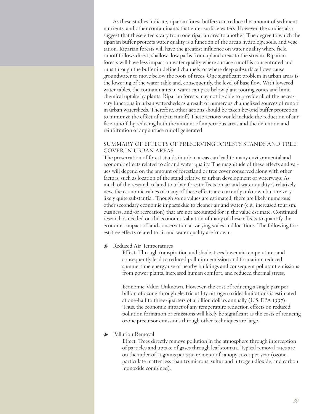As these studies indicate, riparian forest buffers can reduce the amount of sediment, nutrients, and other contaminants that enter surface waters. However, the studies also suggest that these effects vary from one riparian area to another. The degree to which the riparian buffer protects water quality is a function of the area's hydrology, soils, and vegetation. Riparian forests will have the greatest influence on water quality where field runoff follows direct, shallow flow paths from upland areas to the stream. Riparian forests will have less impact on water quality where surface runoff is concentrated and runs through the buffer in defined channels, or where deep subsurface flows cause groundwater to move below the roots of trees. One significant problem in urban areas is the lowering of the water table and, consequently, the level of base flow. With lowered water tables, the contaminants in water can pass below plant rooting zones and limit chemical uptake by plants. Riparian forests may not be able to provide all of the necessary functions in urban watersheds as a result of numerous channelized sources of runoff in urban watersheds. Therefore, other actions should be taken beyond buffer protection to minimize the effect of urban runoff. These actions would include the reduction of surface runoff, by reducing both the amount of impervious areas and the detention and reinfiltration of any surface runoff generated.

#### SUMMARY OF EFFECTS OF PRESERVING FORESTS STANDS AND TREE COVER IN URBAN AREAS

The preservation of forest stands in urban areas can lead to many environmental and economic effects related to air and water quality. The magnitude of these effects and values will depend on the amount of forestland or tree cover conserved along with other factors, such as location of the stand relative to urban development or waterways. As much of the research related to urban forest effects on air and water quality is relatively new, the economic values of many of these effects are currently unknown but are very likely quite substantial. Though some values are estimated, there are likely numerous other secondary economic impacts due to cleaner air and water (e.g., increased tourism, business, and/or recreation) that are not accounted for in the value estimate. Continued research is needed on the economic valuation of many of these effects to quantify the economic impact of land conservation at varying scales and locations. The following forest/tree effects related to air and water quality are known:

#### Reduced Air Temperatures

Effect: Through transpiration and shade, trees lower air temperatures and consequently lead to reduced pollution emission and formation, reduced summertime energy use of nearby buildings and consequent pollutant emissions from power plants, increased human comfort, and reduced thermal stress.

Economic Value: Unknown. However, the cost of reducing a single part per billion of ozone through electric utility nitrogen oxides limitations is estimated at one-half to three-quarters of a billion dollars annually (U.S. EPA 1997). Thus, the economic impact of any temperature reduction effects on reduced pollution formation or emissions will likely be significant as the costs of reducing ozone precursor emissions through other techniques are large.

#### **\*** Pollution Removal

Effect: Trees directly remove pollution in the atmosphere through interception of particles and uptake of gases through leaf stomata. Typical removal rates are on the order of 11 grams per square meter of canopy cover per year (ozone, particulate matter less than 10 microns, sulfur and nitrogen dioxide, and carbon monoxide combined).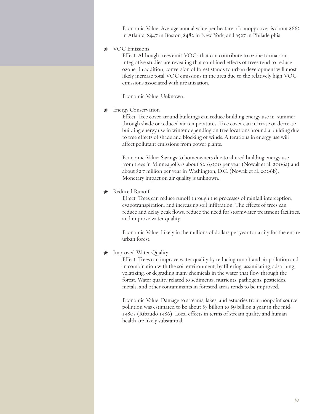Economic Value: Average annual value per hectare of canopy cover is about \$663 in Atlanta, \$447 in Boston, \$482 in New York, and \$527 in Philadelphia.

#### > VOC Emissions

Effect: Although trees emit VOCs that can contribute to ozone formation, integrative studies are revealing that combined effects of trees tend to reduce ozone. In addition, conversion of forest stands to urban development will most likely increase total VOC emissions in the area due to the relatively high VOC emissions associated with urbanization.

Economic Value: Unknown..

#### **\*** Energy Conservation

Effect: Tree cover around buildings can reduce building energy use in summer through shade or reduced air temperatures. Tree cover can increase or decrease building energy use in winter depending on tree locations around a building due to tree effects of shade and blocking of winds. Alterations in energy use will affect pollutant emissions from power plants.

Economic Value: Savings to homeowners due to altered building energy use from trees in Minneapolis is about \$216,000 per year (Nowak et al. 2006a) and about \$2.7 million per year in Washington, D.C. (Nowak et al. 2006b). Monetary impact on air quality is unknown.

#### > Reduced Runoff

Effect: Trees can reduce runoff through the processes of rainfall interception, evapotranspiration, and increasing soil infiltration. The effects of trees can reduce and delay peak flows, reduce the need for stormwater treatment facilities, and improve water quality.

Economic Value: Likely in the millions of dollars per year for a city for the entire urban forest.

#### **M** Improved Water Quality

Effect: Trees can improve water quality by reducing runoff and air pollution and, in combination with the soil environment, by filtering, assimilating, adsorbing, volatizing, or degrading many chemicals in the water that flow through the forest. Water quality related to sediments, nutrients, pathogens, pesticides, metals, and other contaminants in forested areas tends to be improved.

Economic Value: Damage to streams, lakes, and estuaries from nonpoint source pollution was estimated to be about \$7 billion to \$9 billion a year in the mid-1980s (Ribaudo 1986). Local effects in terms of stream quality and human health are likely substantial.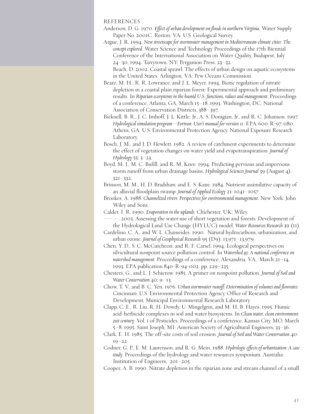#### REFERENCES

- Anderson, D. G. 1970. *Effect of urban development on floods in northern Virginia*. Water Supply Paper No. 2001C. Reston, VA: U.S. Geological Survey.
- Argue, J. R. 1994. *New streetscape for stormwater management in Mediterranean-climate cities*: *The concept explored*. Water Science and Technology Proceedings of the 17th Biennial Conference of the International Association on Water Quality, Budapest, July 24–30, 1994. Tarrytown, NY: Pergamon Press, 23–32. Beach, D. 2002. Coastal sprawl: The effects of urban design on aquatic ecosystems

in the United States. Arlington, VA: Pew Oceans Commission.

- Beare, M. H., R. R. Lowrance, and J. L. Meyer. 1994. Biotic regulation of nitrate depletion in a coastal plain riparian forest: Experimental approach and preliminary results. In *Riparian ecosystems in the humid U.S. functions, values and management*. Proceedings of a conference, Atlanta, GA, March 15–18, 1993. Washington, DC: National Association of Conservation Districts, 388–397.
- Bicknell, B. R., J. C. Imhoff, J. L. Kittle, Jr., A. S. Donigian, Jr., and R. C. Johanson. 1997. *Hydrological simulation program—Fortran: User's manual for version 11*. EPA/600/R-97/080. Athens, GA: U.S. Environmental Protection Agency, National Exposure Research Laboratory.
- Bosch, J. M., and J. D. Hewlett. 1982. A review of catchment experiments to determine the effect of vegetation changes on water yield and evapotranspiration. *Journal of Hydrology* 55: 3–23.
- Boyd, M. J., M. C. Bufill, and R. M. Knee. 1994. Predicting pervious and impervious storm runoff from urban drainage basins. *Hydrological Sciences Journal* 39 (August 4): 321–332.
- Brinson, M. M., H. D. Bradshaw, and E. S. Kane. 1984. Nutrient assimilative capacity of an alluvial floodplain swamp. *Journal of Applied Ecology* 21: 1041–1057

Brookes, A. 1988. *Channelized rivers: Perspectives for environmental management*. New York: John Wiley and Sons.

- Calder, I. R. 1990. *Evaporation in the uplands*. Chichester, UK: Wiley.
- ———. 2003. Assessing the water use of short vegetation and forests: Development of the Hydrological Land Use Change (HYLUC) model. *Water Resources Research* 39 (11).

Cardelino, C. A., and W. L. Chameides. 1990. Natural hydrocarbons, urbanization, and urban ozone. *Journal of Geophysical Research* 95 (D9): 13,971–13,979.

- Chen, Y. D., S. C. McCutcheon, and R. F. Carsel. 1994. Ecological perspectives on silvicultural nonpoint source pollution control. In *Watershed 93: A national conference on watershed management*. Proceedings of a conference, Alexandria, VA, March 21–14, 1993. EPA publication 840-R-94-002. pp. 229–235.
- Chesters, G., and L. J. Schierow. 1985. A primer on nonpoint pollution. *Journal of Soil and Water Conservation* 40: 9–13.
- Chow, T. V., and B. C. Yen. 1976. *Urban stormwater runoff: Determination of volumes and flowrates*. Cincinnati: U.S. Environmental Protection Agency, Office of Research and Development, Municipal Environmental Research Laboratory.
- Clapp, C. E., R. Liu, R. H. Dowdy, U. Mingelgrin, and M. H. B. Hayes. 1995. Humic acid-herbicide complexes in soil and water biosystems. In *Clean water, clean environment: 21st century*. Vol. 1 of Pesticides. Proceedings of a conference, Kansas City, MO, March 5–8, 1995. Saint Joseph, MI: American Society of Agricultural Engineers, 33–36.

Clark, E. H. 1985. The off-site costs of soil erosion. *Journal of Soil and Water Conservation* 40: 19–22

- Codner, G. P., E. M. Laurenson, and R. G. Mein. 1988. *Hydrologic effects of urbanization: A case study*. Proceedings of the hydrology and water resources symposium. Australia: Institution of Engineers, 201–205.
- Cooper, A. B. 1990. Nitrate depletion in the riparian zone and stream channel of a small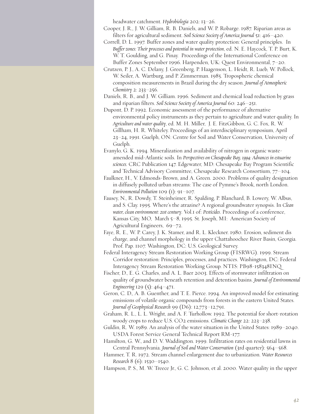headwater catchment. *Hydrobiologia* 202: 13–26.

Cooper, J. R., J. W. Gilliam, R. B. Daniels, and W. P. Robarge. 1987. Riparian areas as filters for agricultural sediment. *Soil Science Society of America Journal* 51: 416–420.

- Correll, D. L. 1997. Buffer zones and water quality protection: General principles. In *Buffer zones: Their processes and potential in water protection, ed. N. E. Haycock, T. P. Burt, K.* W. T. Goulding, and G. Pinay. Proceedings of the International Conference on Buffer Zones September 1996. Harpenden, UK: Quest Environmental, 7–20.
- Crutzen, P. J., A. C. Delany, J. Greenberg, P. Haagenson, L. Heidt, R. Lueb, W. Pollock, W. Seiler, A. Wartburg, and P. Zimmerman. 1985. Tropospheric chemical composition measurements in Brazil during the dry season. *Journal of Atmospheric Chemistry* 2: 233–256.
- Daniels, R. B., and J. W. Gilliam. 1996. Sediment and chemical load reduction by grass and riparian filters. *Soil Science Society of America Journal* 60: 246–251.
- Dupont, D. P. 1992. Economic assessment of the performance of alternative environmental policy instruments as they pertain to agriculture and water quality. In *Agriculture and water quality*, ed. M. H. Miller, J. E. FitzGibbon, G. C. Fox, R. W. Gillham, H. R. Whiteley. Proceedings of an interdisciplinary symposium, April 23–24, 1991. Guelph, ON: Centre for Soil and Water Conservation, University of Guelph.
- Evanylo, G. K. 1994. Mineralization and availability of nitrogen in organic wasteamended mid-Atlantic soils. In *Perspectives on Chesapeake Bay, 1994: Advances in estuarine sciences.* CRC Publication 147. Edgewater, MD: Chesapeake Bay Program Scientific and Technical Advisory Committee, Chesapeake Research Consortium, 77–104.
- Faulkner, H., V. Edmonds-Brown, and A. Green. 2000. Problems of quality designation in diffusely polluted urban streams: The case of Pymme's Brook, north London. *Environmental Pollution* 109 (1): 91–107.
- Fausey, N., R. Dowdy, T. Steinheimer, R. Spalding, P. Blanchard, B. Lowery, W. Albus, and S. Clay. 1995. Where's the atrazine? A regional groundwater synopsis. In *Clean water, clean environment: 21st century*. Vol.1 of: *Pesticides*. Proceedings of a conference, Kansas City, MO, March 5–8, 1995. St. Joseph, MI: American Society of Agricultural Engineers, 69–72.
- Faye, R. E., W. P. Carey, J. K. Stamer, and R. L. Kleckner. 1980. Erosion, sediment dis charge, and channel morphology in the upper Chattahoochee River Basin, Georgia. Prof. Pap. 1107. Washington, DC: U.S. Geological Survey.
- Federal Interagency Stream Restoration Working Group (FISRWG). 1999. Stream Corridor restoration: Principles, processes, and practices. Washington, DC: Federal Interagency Stream Restoration Working Group. NTIS: PB98-158348INQ.
- Fischer, D., E. G. Charles, and A. L. Baer 2003. Effects of stormwater infiltration on quality of groundwater beneath retention and detention basins. *Journal of Environmental Engineering* 129 (5): 464–471.
- Geron, C. D., A. B. Guenther, and T. E. Pierce. 1994. An improved model for estimating emissions of volatile organic compounds from forests in the eastern United States. *Journal of Geophysical Research* 99 (D6): 12,773–12,791.
- Graham, R. L., L. L. Wright, and A. F. Turhollow. 1992. The potential for short-rotation woody crops to reduce U.S. CO2 emissions. *Climatic Change* 22: 223–238.
- Guldin, R. W. 1989. An analysis of the water situation in the United States: 1989–2040. USDA Forest Service General Technical Report RM-177.
- Hamilton, G. W., and D. V. Waddington. 1999. Infiltration rates on residential lawns in Central Pennsylvania. *Journal of Soil and Water Conservation* (3rd quarter): 564–568.
- Hammer, T. R. 1972. Stream channel enlargement due to urbanization. *Water Resources Research* 8 (6): 1530–1540.
- Hampson, P. S., M. W. Treece Jr., G. C. Johnson, et al. 2000. Water quality in the upper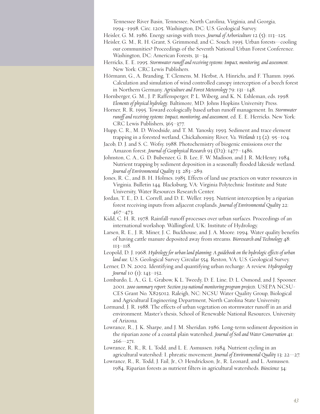Tennessee River Basin, Tennessee, North Carolina, Virginia, and Georgia,

- Heisler, G. M. 1986. Energy savings with trees. *Journal of Arboriculture* 12 (5): 113–125.
- Heisler, G. M., R. H. Grant, S. Grimmond, and C. Souch. 1995. Urban forests—cooling our communities? Proceedings of the Seventh National Urban Forest Conference. Washington, DC: American Forests, 31–34.
- Herricks, E. E. 1995. *Stormwater runoff and receiving systems: Impact, monitoring, and assessment*. New York: CRC Lewis Publishers.
- Hörmann, G., A. Branding, T. Clemens, M. Herbst, A. Hinrichs, and F. Thamm. 1996. Calculation and simulation of wind controlled canopy interception of a beech forest in Northern Germany. *Agriculture and Forest Meteorology* 79: 131–148.
- Hornberger, G. M., J. P. Raffensperger, P. L. Wiberg, and K. N. Eshleman, eds. 1998. *Elements ofphysical hydrology*. Baltimore, MD: Johns Hopkins University Press.
- Horner, R. R. 1995. Toward ecologically based urban runoff management. In. *Stormwater runoff and receiving systems: Impact, monitoring, and assessment*, ed. E. E. Herricks. New York: CRC Lewis Publishers, 365–377.
- Hupp, C. R., M. D. Woodside, and T. M. Yanosky. 1993. Sediment and trace element trapping in a forested wetland, Chickahominy River, Va. *Wetlands* 13 (2): 95–104.
- Jacob, D. J. and S. C. Wofsy. 1988. Photochemistry of biogenic emissions over the Amazon forest. *Journal of Geophysical Research* 93 (D2): 1477–1486.
- Johnston, C. A., G. D. Bubenzer, G. B. Lee, F. W. Madison, and J. R. McHenry. 1984. Nutrient trapping by sediment deposition in a seasonally flooded lakeside wetland. *Journal of Environmental Quality* 13: 283–289.
- Jones, R. C., and B. H. Holmes. 1985. Effects of land use practices on water resources in Virginia. Bulletin 144. Blacksburg, VA: Virginia Polytechnic Institute and State University, Water Resources Research Center.
- Jordan, T. E., D. L. Correll, and D. E. Weller. 1993. Nutrient interception by a riparian forest receiving inputs from adjacent croplands. *Journal of Environmental Quality* 22: 467–473.
- Kidd, C. H. R. 1978. Rainfall-runoff processes over urban surfaces. Proceedings of an international workshop. Wallingford, UK: Institute of Hydrology.
- Larsen, R. E., J. R. Miner, J. C. Buckhouse, and J. A. Moore. 1994. Water quality benefits of having cattle manure deposited away from streams. *Bioresearch and Technology* 48: 113–118.
- Leopold, D. J. 1968. *Hydrology for urban landplanning: A guidebook on the hydrologic effects of urban land use*. U.S. Geological Survey Circular 554. Reston, VA: U.S. Geological Survey.
- Lerner, D. N. 2002. Identifying and quantifying urban recharge: A review. *Hydrogeology Journal* 10 (1): 143–152.
- Lombardo, L. A., G. L. Grabow, K L. Tweedy, D. E. Line, D. L. Osmond, and J. Spooner. 2001. *2000 summary report: Section 319 national monitoringprogram projects*. USEPA NCSU-CES Grant No. X825012. Raleigh, NC: NCSU Water Quality Group, Biological and Agricultural Engineering Department, North Carolina State University.
- Lormand, J. R. 1988. The effects of urban vegetation on stormwater runoff in an arid environment. Master's thesis, School of Renewable National Resources, University of Arizona.
- Lowrance, R., J. K. Sharpe, and J. M. Sheridan. 1986. Long-term sediment deposition in the riparian zone of a coastal plain watershed. *Journal of Soil and Water Conservation* 41:  $266 - 271$ .
- Lowrance, R. R., R. L. Todd, and L. E. Asmussen. 1984. Nutrient cycling in an agricultural watershed: I. phreatic movement. *Journal of Environmental Quality* 13: 22—27.
- Lowrance, R., R. Todd, J. Fail, Jr., O. Hendrickson, Jr., R. Leonard, and L. Asmussen. 1984. Riparian forests as nutrient filters in agricultural watersheds. *Bioscience* 34:

<sup>1994–1998.</sup> Circ. 1205. Washington, DC: U.S. Geological Survey.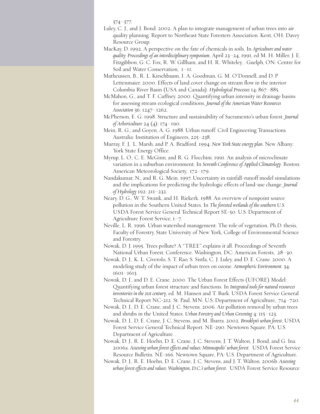374–377.

- Luley, C. J., and J. Bond. 2002. A plan to integrate management of urban trees into air quality planning. Report to Northeast State Foresters Association. Kent, OH: Davey Resource Group.
- MacKay, D. 1992. A perspective on the fate of chemicals in soils. In *Agriculture and water quality: Proceedings of an interdisciplinary symposium*, April 23–24, 1991, ed M. H. Miller, J. E. Fitzgibbon, G. C. Fox, R. W. Gillham, and H. R. Whiteley, . Guelph, ON: Centre for Soil and Water Conservation, 1–11.
- Matheussen, B., R. L. Kirschbaum, I. A. Goodman, G. M. O'Donnell, and D. P Lettenmaier. 2000. Effects of land cover change on stream flow in the interior Columbia River Basin (USA and Canada). *Hydrological Processes* 14: 867–885.
- McMahon, G., and T. F. Cuffney. 2000. Quantifying urban intensity in drainage basins for assessing stream ecological conditions. *Journal of the American Water Resources Association* 36: 1247–1262.
- McPherson, E. G. 1998. Structure and sustainability of Sacramento's urban forest. *Journal of Arboriculture* 24 (4): 174–190.
- Mein, R. G., and Goyen, A. G. 1988. Urban runoff. Civil Engineering Transactions. Australia: Institution of Engineers, 225–238.
- Murray, F. J, L. Marsh, and P. A. Bradford. 1994. *New York State energyplan*. New Albany: York State Energy Office.
- Myrup, L. O., C. E. McGinn, and R. G. Flocchini. 1991. An analysis of microclimate variation in a suburban environment. In *Seventh Conference of Applied Climatology*. Boston: American Meteorological Society, 172–179.
- Nandakumar, N., and R. G. Mein. 1997. Uncertainty in rainfall-runoff model simulations and the implications for predicting the hydrologic effects of land-use change. *Journal of Hydrology* 192: 211–232.
- Neary, D. G., W. T. Swank, and H. Riekerk. 1988. An overview of nonpoint source pollution in the Southern United States. In *The forested wetlands of the southern U.S.* USDA Forest Service General Technical Report SE-50. U.S. Department of Agriculture Forest Service, 1–7.
- Neville, L. R. 1996. Urban watershed management: The role of vegetation. Ph.D. thesis, Faculty of Forestry, State University of New York, College of Environmental Science and Forestry.
- Nowak, D. J. 1995. Trees pollute? A "TREE" explains it all. Proceedings of Seventh National Urban Forest. Conference. Washington, DC: American Forests, 28–30.
- Nowak, D. J., K. L. Civerolo, S. T. Rao, S. Sistla, C. J. Luley, and D. E. Crane. 2000. A modeling study of the impact of urban trees on ozone. *Atmospheric Environment*. 34: 1601–1613.
- Nowak, D. J., and D. E. Crane. 2000. The Urban Forest Effects (UFORE) Model: Quantifying urban forest structure and functions. In *Integrated tools for natural resources inventories in the 21st century*, ed. M. Hansen and T. Burk. USDA Forest Service General Technical Report NC-212. St. Paul, MN: U.S. Department of Agriculture,. 714–720.
- Nowak, D. J., D. E. Crane, and J. C. Stevens. 2006. Air pollution removal by urban trees and shrubs in the United States. *Urban Forestry and Urban Greening* 4: 115–123.
- Nowak, D. J., D. E. Crane, J. C. Stevens, and M. Ibarra. 2002. *Brooklyn's urban forest*. USDA Forest Service General Technical Report. NE-290. Newtown Square, PA: U.S. Department of Agriculture. .
- Nowak, D. J., R. E. Hoehn, D. E. Crane, J. C. Stevens, J. T. Walton, J. Bond, and G. Ina. 2006a. *Assessing urban forest effects and values: Minneapolis' urban forest*. USDA Forest Service Resource Bulletin. NE-166. Newtown Square, PA: U.S. Department of Agriculture.
- Nowak, D. J., R. E. Hoehn, D. E. Crane, J. C. Stevens, and J. T. Walton. 2006b. *Assessing urban forest effects and values: Washington, D.C.'s urban forest*. USDA Forest Service Resource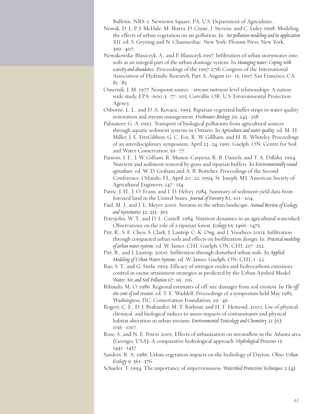Bulletin. NRS-1. Newtown Square, PA: U.S. Department of Agriculture. .

- Nowak, D. J., P. J. McHale, M. Ibarra, D. Crane, J. Stevens, and C. Luley. 1998. Modeling the effects of urban vegetation on air pollution. In *Airpollution modeling and its application XII*, ed. S. Gryning and N. Chaumerliac. New York: Plenum Press, New York, 399–407.
- Nowakowska-Blaszczyk, A., and P. Blaszczyk 1997. Infiltration of urban stormwater into soils as an integral part of the urban drainage system. In *Managing water: Coping with scarcity and abundance*. Proceedings of the 1997 27th Congress of the International Association of Hydraulic Research, Part A, August 10–15, 1997. San Francisco, CA:  $81 - 85$ .
- Omernik, J. M. 1977. Nonpoint source—stream nutrient level relationships: A nation wide study. EPA–600/3–77–105. Corvallis, OR: U.S. Environmental Protection Agency.
- Osborne, L. L., and D. A. Kovacic. 1993. Riparian vegetated buffer strips in water quality restoration and stream management. *Freshwater Biology* 29: 243–258.
- Palmateer, G. A. 1992. Transport of biological pollutants from agricultural sources through aquatic sediment systems in Ontario. In *Agriculture and water quality*, ed. M. H. Miller, J. E. FitzGibbon, G. C. Fox, R. W. Gillham, and H. R. Whiteley. Proceedings of an interdisciplinary symposium, April 23–24, 1991. Guelph, ON: Centre for Soil and Water Conservation, 59–77.
- Parsons, J. E., J. W. Gilliam, R. Munoz-Carpena, R. B. Daniels, and T. A. Dillaha. 1994. Nutrient and sediment removal by grass and riparian buffers. In *Environmentally sound agriculture*, ed. W. D. Graham and A. B. Bottcher. Proceedings of the Second Conference, Orlando, FL, April 20–22, 1994. St. Joseph, MI: American Society of Agricultural Engineers, 147–154.
- Patric, J. H., J. O. Evans, and J. D. Helvey. 1984. Summary of sediment yield data from forested land in the United States. *Journal of Forestry* 82: 101–104.
- Paul, M. J., and J. L. Meyer. 2001. Streams in the urban landscape. *Annual Review of Ecology and Systematics* 32: 333–365.
- Peterjohn, W. T., and D. L. Correll. 1984. Nutrient dynamics in an agricultural watershed: Observations on the role of a riparian forest. *Ecology* 65: 1466–1475.
- Pitt, R., S. E. Chen, S. Clark, J. Lantrip, C. K. Ong, and J. Voorhees 2003. Infiltration through compacted urban soils and effects on biofiltration design. In *Practical modeling of urban water systems*, ed. W. James. CHI, Guelph, ON: CHI, 217–252.
- Pitt, R., and J. Lantrip. 2000. Infiltration through disturbed urban soils. In *Applied Modeling of Urban Water Systems*, ed. W. James. Guelph, ON: CHI, 1–22.
- Rao, S. T., and G. Sistla. 1993. Efficacy of nitrogen oxides and hydrocarbons emissions control in ozone attainment strategies as predicted by the Urban Airshed Model. *Water, Air, and Soil Pollution* 67: 95–116.
- Ribaudo, M. O. 1986. Regional estimates of off-site damages from soil erosion. In *The offsite costs of soil erosion*, ed. T. E. Waddell. Proceedings of a symposium held May 1985. Washington, DC: Conservation Foundation, 29–46.
- Rogers, C. E., D. J. Brabander, M. T. Barbour, and H. F. Hemond. 2002. Use of physical, chemical, and biological indices to assess impacts of contaminants and physical habitat alteration in urban streams. *Environmental Toxicology and Chemistry* 21 (6): 1156–1167.
- Rose, S., and N. E. Peters 2001. Effects of urbanization on streamflow in the Atlanta area (Georgia, USA): A comparative hydrological approach. *Hydrological Processes* 15: 1441–1457.
- Sanders, R. A. 1986. Urban vegetation impacts on the hydrology of Dayton, Ohio. *Urban Ecology* 9: 361–376.
- Schueler, T. 1994. The importance of imperviousness. *Watershed Protection Techniques* 2 (4):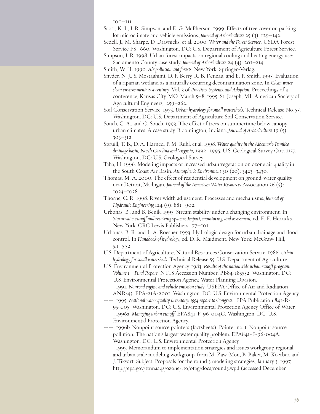100–111.

- Scott, K. I., J. R. Simpson, and E. G. McPherson. 1999. Effects of tree cover on parking lot microclimate and vehicle emissions. *Journal of Arboriculture* 25 (3): 129–142.
- Sedell, J., M. Sharpe, D. Dravnieks, et al. 2000. *Water and the Forest Service*. USDA Forest Service FS–660. Washington, DC: U.S. Department of Agriculture Forest Service.
- Simpson, J. R. 1998. Urban forest impacts on regional cooling and heating energy use: Sacramento County case study. *Journal of Arboriculture* 24 (4): 201–214.
- Smith, W. H. 1990. *Airpollution and forests*. New York: Springer-Verlag.
- Snyder, N. J., S. Mostaghimi, D. F. Berry, R. B. Reneau, and E. P. Smith. 1995. Evaluation of a riparian wetland as a naturally occurring decontamination zone. In *Clean water, clean environment: 21st century.* Vol. 3 of *Practices, Systems, and Adoption*. Proceedings of a conference, Kansas City, MO, March 5–8, 1995. St. Joseph, MI: American Society of Agricultural Engineers, 259–262.
- Soil Conservation Service. 1975. *Urban hydrology for small watersheds*. Technical Release No. 55. Washington, DC: U.S. Department of Agriculture Soil Conservation Service.
- Souch, C. A., and C. Souch. 1993. The effect of trees on summertime below canopy urban climates: A case study, Bloomington, Indiana. *Journal of Arboriculture* 19 (5): 303–312.
- Spruill, T. B., D. A. Harned, P. M. Ruhl, et al. 1998. *Water quality in the Albemarle-Pamlico drainage basin, North Carolina and Virginia*, 1992–1995. U.S. Geological Survey Circ. 1157. Washington, DC: U.S. Geological Survey.
- Taha, H. 1996. Modeling impacts of increased urban vegetation on ozone air quality in the South Coast Air Basin. *Atmospheric Environment* 30 (20): 3423–3430.
- Thomas, M. A. 2000. The effect of residential development on ground-water quality near Detroit, Michigan. *Journal of the American Water Resources* Association 36 (5): 1023–1038.
- Thorne, C. R. 1998. River width adjustment: Processes and mechanisms. *Journal of Hydraulic Engineering* 124 (9): 881–902.
- Urbonas, B., and B. Benik. 1995. Stream stability under a changing environment. In *Stormwater runoff and receiving systems: Impact, monitoring, and assessment,* ed. E. E. Herricks. New York: CRC Lewis Publishers, 77–101.
- Urbonas, B. R. and L. A. Roesner. 1993. Hydrologic design for urban drainage and flood control. In *Handbook of hydrology*, ed. D. R. Maidment. New York: McGraw-Hill, 5.1–5.52.
- U.S. Department of Agriculture, Natural Resources Conservation Service. 1986. *Urban hydrology for small watersheds*. Technical Release 55. U.S. Department of Agriculture.
- U.S. Environmental Protection Agency. 1983. *Results of the nationwide urban runoffprogram: Volume 1—Final Report*. NTIS Accession Number: PB84-185552. Washington, DC: U.S. Environmental Protection Agency, Water Planning Division.
- ——. 1991. *Nonroad engine and vehicle emission study*. USEPA Office of Air and Radiation ANR-43. EPA-21A-2001. Washington, DC: U.S. Environmental Protection Agency.
- ——. 1995. *National water quality inventory: 1994report to Congress*. EPA Publication 841-R-95-005. Washington, DC: U.S. Environmental Protection Agency Office of Water.
- ——. 1996a. *Managing urban runoff*. EPA841-F-96-004G. Washington, DC: U.S. Environmental Protection Agency.
- ——. 1996b. Nonpoint source pointers (factsheets): Pointer no. 1: Nonpoint source pollution: The nation's largest water quality problem. EPA841-F-96-004A. Washington, DC: U.S. Environmental Protection Agency.
- ——. 1997. Memorandum to implementation strategies and issues workgroup regional and urban scale modeling workgroup, from M. Zaw-Mon, B. Baker, M. Koerber, and J. Tikvart. Subject: Proposals for the round 3 modeling strategies, January 3, 1997, http://epa.gov/ttnnaaqs/ozone/rto/otag/docs/round3.wpd (accessed December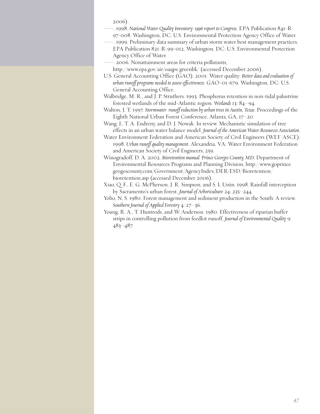2006).

- ——. 1998. *National Water Quality Inventory: 1996report to Congress*. EPA Publication 841-R-97-008. Washington, DC: U.S. Environmental Protection Agency Office of Water.
- ——. 1999. Preliminary data summary of urban storm water best management practices. EPA Publication 821-R-99-012. Washington, DC: U.S. Environmental Protection
- Agency Office of Water.
- ——. 2006. Nonattainment areas for criteria pollutants,
	- http://www.epa.gov/air/oaqps/greenbk/ (accessed December 2006).
- U.S. General Accounting Office (GAO). 2001. Water quality: *Better data and evaluation of urban runoffprograms needed to assess effectiveness*. GAO-01-679. Washington, DC: U.S. General Accounting Office.
- Walbridge, M. R., and J. P. Struthers. 1993. Phosphorus retention in non-tidal palustrine forested wetlands of the mid-Atlantic region. *Wetlands* 13: 84–94.
- Walton, J. T. 1997. *Stormwater runoff reduction by urban trees in Austin, Texas*. Proceedings of the Eighth National Urban Forest Conference, Atlanta, GA, 17–20.
- Wang, J., T. A. Endreny, and D. J. Nowak. In review. Mechanistic simulation of tree effects in an urban water balance model. *Journal of the American Water Resources Association*.
- Water Environment Federation and American Society of Civil Engineers (WEF/ASCE). 1998. *Urban runoff quality management*. Alexandria, VA: Water Environment Federation and American Society of Civil Engineers, 259.
- Winogradoff, D. A. 2002. *Bioretention manual. Prince Georges County, MD.* Department of Environmental Resources Programs and Planning Division, http://www.goprince geogescounty.com/Government/AgencyIndex/DER/ESD/Bioretention/ bioretention.asp (accessed December 2006).
- Xiao, Q. F., E. G. McPherson, J. R. Simpson, and S. L Ustin. 1998. Rainfall interception by Sacramento's urban forest. *Journal of Arboriculture* 24: 235–244.
- Yoho, N. S. 1980. Forest management and sediment production in the South: A review. *Southern Journal of Applied Forestry* 4: 27–36.
- Young, R. A., T. Huntrods, and W. Anderson. 1980. Effectiveness of riparian buffer strips in controlling pollution from feedlot runoff. *Journal of Environmental Quality* 9: 483–487.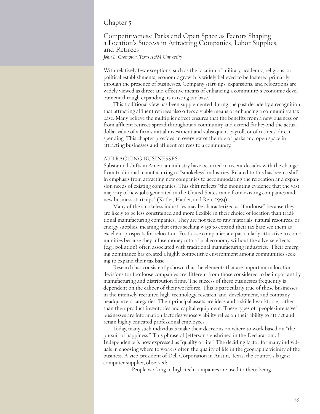#### Chapter 5

## Competitiveness: Parks and Open Space as Factors Shaping <sup>a</sup> Location's Success in Attracting Companies, Labor Supplies, and Retirees

*John L. Crompton, Texas A&M University*

With relatively few exceptions, such as the location of military, academic, religious, or political establishments, economic growth is widely believed to be fostered primarily through the presence of businesses. Company start-ups, expansions, and relocations are widely viewed as direct and effective means of enhancing a community's economic development through expanding its existing tax base.

This traditional view has been supplemented during the past decade by a recognition that attracting affluent retirees also offers a viable means of enhancing a community's tax base. Many believe the multiplier effect ensures that the benefits from a new business or from affluent retirees spread throughout a community and extend far beyond the actual dollar value of a firm's initial investment and subsequent payroll, or of retirees' direct spending. This chapter provides an overview of the role of parks and open space in attracting businesses and affluent retirees to a community.

#### ATTRACTING BUSINESSES

Substantial shifts in American industry have occurred in recent decades with the change from traditional manufacturing to "smokeless" industries. Related to this has been a shift in emphasis from attracting new companies to accommodating the relocation and expansion needs of existing companies. This shift reflects "the mounting evidence that the vast majority of new jobs generated in the United States came from existing companies and new business start-ups" (Kotler, Haider, and Rein 1993).

Many of the smokeless industries may be characterized as "footloose" because they are likely to be less constrained and more flexible in their choice of location than traditional manufacturing companies. They are not tied to raw materials, natural resources, or energy supplies, meaning that cities seeking ways to expand their tax base see them as excellent prospects for relocation. Footloose companies are particularly attractive to communities because they infuse money into a local economy without the adverse effects (e.g., pollution) often associated with traditional manufacturing industries. Their emerging dominance has created a highly competitive environment among communities seeking to expand their tax base.

Research has consistently shown that the elements that are important in location decisions for footloose companies are different from those considered to be important by manufacturing and distribution firms. The success of these businesses frequently is dependent on the caliber of their workforce. This is particularly true of those businesses in the intensely recruited high-technology, research-and-development, and company headquarters categories. Their principal assets are ideas and a skilled workforce, rather than their product inventories and capital equipment. These types of "people-intensive" businesses are information factories whose viability relies on their ability to attract and retain highly educated professional employees.

Today, many such individuals make their decisions on where to work based on "the pursuit of happiness." This phrase of Jefferson's enshrined in the Declaration of Independence is now expressed as "quality of life." The deciding factor for many individuals in choosing where to work is often the quality of life in the geographic vicinity of the business. A vice-president of Dell Corporation in Austin, Texas, the country's largest computer supplier, observed:

People working in high-tech companies are used to there being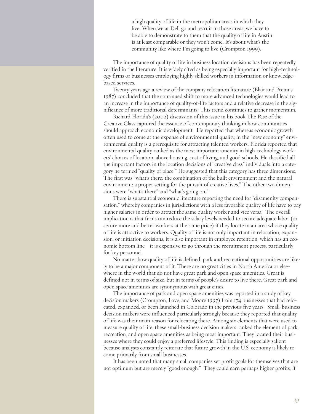a high quality of life in the metropolitan areas in which they live. When we at Dell go and recruit in those areas, we have to be able to demonstrate to them that the quality of life in Austin is at least comparable or they won't come. It's about what's the community like where I'm going to live (Crompton 1999).

The importance of quality of life in business location decisions has been repeatedly verified in the literature. It is widely cited as being especially important for high-technology firms or businesses employing highly skilled workers in information or knowledgebased services.

Twenty years ago a review of the company relocation literature (Blair and Premus 1987) concluded that the continued shift to more advanced technologies would lead to an increase in the importance of quality-of-life factors and a relative decrease in the significance of more traditional determinants. This trend continues to gather momentum.

Richard Florida's (2002) discussion of this issue in his book The Rise of the Creative Class captured the essence of contemporary thinking in how communities should approach economic development. He reported that whereas economic growth often used to come at the expense of environmental quality, in the "new economy" environmental quality is a prerequisite for attracting talented workers. Florida reported that environmental quality ranked as the most important amenity in high-technology workers' choices of location, above housing, cost of living, and good schools. He classified all the important factors in the location decisions of "creative class" individuals into a category he termed "quality of place." He suggested that this category has three dimensions. The first was "what's there: the combination of the built environment and the natural environment; a proper setting for the pursuit of creative lives." The other two dimensions were "what's there" and "what's going on."

There is substantial economic literature reporting the need for "disamenity compensation," whereby companies in jurisdictions with a less favorable quality of life have to pay higher salaries in order to attract the same quality worker and vice versa. The overall implication is that firms can reduce the salary levels needed to secure adequate labor (or secure more and better workers at the same price) if they locate in an area whose quality of life is attractive to workers. Quality of life is not only important in relocation, expansion, or initiation decisions, it is also important in employee retention, which has an economic bottom line—it is expensive to go through the recruitment process, particularly for key personnel.

No matter how quality of life is defined, park and recreational opportunities are likely to be a major component of it. There are no great cities in North America or elsewhere in the world that do not have great park and open space amenities. Great is defined not in terms of size, but in terms of people's desire to live there. Great park and open space amenities are synonymous with great cities.

The importance of park and open space amenities was reported in a study of key decision makers (Crompton, Love, and Moore 1997) from 174 businesses that had relocated, expanded, or been launched in Colorado in the previous five years. Small-business decision makers were influenced particularly strongly because they reported that quality of life was their main reason for relocating there. Among six elements that were used to measure quality of life, these small-business decision makers ranked the element of park, recreation, and open space amenities as being most important. They located their businesses where they could enjoy a preferred lifestyle. This finding is especially salient because analysts constantly reiterate that future growth in the U.S. economy is likely to come primarily from small businesses.

It has been noted that many small companies set profit goals for themselves that are not optimum but are merely "good enough." They could earn perhaps higher profits, if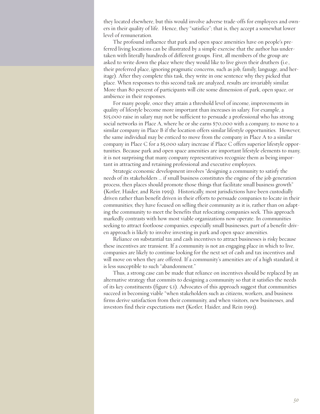they located elsewhere, but this would involve adverse trade-offs for employees and owners in their quality of life. Hence, they "satisfice"; that is, they accept a somewhat lower level of remuneration.

The profound influence that park and open space amenities have on people's preferred living locations can be illustrated by a simple exercise that the author has undertaken with literally hundreds of different groups. First, all members of the group are asked to write down the place where they would like to live given their druthers (i.e., their preferred place, ignoring pragmatic concerns, such as job, family, language, and heritage). After they complete this task, they write in one sentence why they picked that place. When responses to this second task are analyzed, results are invariably similar. More than 80 percent of participants will cite some dimension of park, open space, or ambience in their responses.

For many people, once they attain a threshold level of income, improvements in quality of lifestyle become more important than increases in salary. For example, a \$15,000 raise in salary may not be sufficient to persuade a professional who has strong social networks in Place A, where he or she earns \$70,000 with a company, to move to a similar company in Place B if the location offers similar lifestyle opportunities. However, the same individual may be enticed to move from the company in Place A to a similar company in Place C for a \$5,000 salary increase if Place C offers superior lifestyle opportunities. Because park and open space amenities are important lifestyle elements to many, it is not surprising that many company representatives recognize them as being important in attracting and retaining professional and executive employees.

Strategic economic development involves "designing a community to satisfy the needs of its stakeholders … if small business constitutes the engine of the job generation process, then places should promote those things that facilitate small business growth" (Kotler, Haider, and Rein 1993). Historically, most jurisdictions have been custodially driven rather than benefit driven in their efforts to persuade companies to locate in their communities; they have focused on selling their community as it is, rather than on adapting the community to meet the benefits that relocating companies seek. This approach markedly contrasts with how most viable organizations now operate. In communities seeking to attract footloose companies, especially small businesses, part of a benefit-driven approach is likely to involve investing in park and open space amenities.

Reliance on substantial tax and cash incentives to attract businesses is risky because these incentives are transient. If a community is not an engaging place in which to live, companies are likely to continue looking for the next set of cash and tax incentives and will move on when they are offered. If a community's amenities are of a high standard, it is less susceptible to such "abandonment."

Thus, a strong case can be made that reliance on incentives should be replaced by an alternative strategy that commits to designing a community so that it satisfies the needs of its key constituents (figure 5.1). Advocates of this approach suggest that communities succeed in becoming viable "when stakeholders such as citizens, workers, and business firms derive satisfaction from their community, and when visitors, new businesses, and investors find their expectations met (Kotler, Haider, and Rein 1993).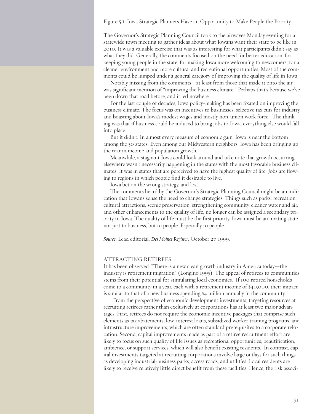Figure 5.1. Iowa Strategic Planners Have an Opportunity to Make People the Priority

The Governor's Strategic Planning Council took to the airwaves Monday evening for a statewide town meeting to gather ideas about what Iowans want their state to be like in 2010. It was a valuable exercise that was as interesting for what participants didn't say as what they did. Generally, the comments focused on the need for better education, for keeping young people in the state, for making Iowa more welcoming to newcomers, for a cleaner environment and more cultural and recreational opportunities. Most of the comments could be lumped under a general category of improving the quality of life in Iowa.

Notably missing from the comments—at least from those that made it onto the air was significant mention of "improving the business climate." Perhaps that's because we've been down that road before, and it led nowhere.

For the last couple of decades, Iowa policy-making has been fixated on improving the business climate. The focus was on incentives to businesses, selective tax cuts for industry, and boasting about Iowa's modest wages and mostly non-union work force. The thinking was that if business could be induced to bring jobs to Iowa, everything else would fall into place.

But it didn't. In almost every measure of economic gain, Iowa is near the bottom among the 50 states. Even among our Midwestern neighbors, Iowa has been bringing up the rear in income and population growth.

Meanwhile, a stagnant Iowa could look around and take note that growth occurring elsewhere wasn't necessarily happening in the states with the most favorable business climates. It was in states that are perceived to have the highest quality of life. Jobs are flowing to regions in which people find it desirable to live.

Iowa bet on the wrong strategy, and lost.

The comments heard by the Governor's Strategic Planning Council might be an indication that Iowans sense the need to change strategies. Things such as parks, recreation, cultural attractions, scenic preservation, strengthening community, cleaner water and air, and other enhancements to the quality of life, no longer can be assigned a secondary priority in Iowa. The quality of life must be the first priority. Iowa must be an inviting state not just to business, but to people. Especially to people.

*Source*: Lead editorial, *Des Moines Register*, October 27, 1999.

#### ATTRACTING RETIREES

It has been observed: "There is a new clean growth industry in America today—the industry is retirement migration" (Longino 1995). The appeal of retirees to communities stems from their potential for stimulating local economies. If 100 retired households come to a community in a year, each with a retirement income of \$40,000, their impact is similar to that of a new business spending \$4 million annually in the community.

From the perspective of economic development investments, targeting resources at recruiting retirees rather than exclusively at corporations has at least two major advantages. First, retirees do not require the economic incentive packages that comprise such elements as tax abatements, low-interest loans, subsidized worker training programs, and infrastructure improvements, which are often standard prerequisites to a corporate relocation. Second, capital improvements made as part of a retiree recruitment effort are likely to focus on such quality of life issues as recreational opportunities, beautification, ambience, or support services, which will also benefit existing residents. In contrast, capital investments targeted at recruiting corporations involve large outlays for such things as developing industrial/business parks, access roads, and utilities. Local residents are likely to receive relatively little direct benefit from these facilities. Hence, the risk associ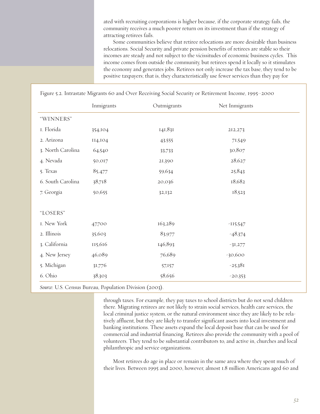ated with recruiting corporations is higher because, if the corporate strategy fails, the community receives a much poorer return on its investment than if the strategy of attracting retirees fails.

Some communities believe that retiree relocations are more desirable than business relocations. Social Security and private pension benefits of retirees are stable so their incomes are steady and not subject to the vicissitudes of economic business cycles. This income comes from outside the community, but retirees spend it locally so it stimulates the economy and generates jobs. Retirees not only increase the tax base, they tend to be positive taxpayers; that is, they characteristically use fewer services than they pay for

|                   | Inmigrants | Outmigrants | Net Inmigrants |
|-------------------|------------|-------------|----------------|
| "WINNERS"         |            |             |                |
| I. Florida        | 354,104    | 141,831     | 212,273        |
| 2. Arizona        | 114,104    | 43,555      | 71,549         |
| 3. North Carolina | 64,540     | 33,733      | 30,807         |
| 4. Nevada         | 50,017     | 21,390      | 28,627         |
| 5. Texas          | 85,477     | 59,634      | 25,843         |
| 6. South Carolina | 38,718     | 20,036      | 18,682         |
| 7. Georgia        | 50,655     | 32,132      | 18,523         |
|                   |            |             |                |
| "LOSERS"          |            |             |                |
| I. New York       | 47,700     | 163,289     | $-115,547$     |
| 2. Illinois       | 35,603     | 83,977      | $-48,374$      |
| 3. California     | 115,616    | 146,893     | $-31,277$      |
| 4. New Jersey     | 46,089     | 76,689      | $-30,600$      |
| 5. Michigan       | 31,776     | 57,157      | $-25,381$      |
| 6. Ohio           | 38,303     | 58,656      | $-20,353$      |

*Source*: U.S. Census Bureau, Population Division (2003).

through taxes. For example, they pay taxes to school districts but do not send children there. Migrating retirees are not likely to strain social services, health care services, the local criminal justice system, or the natural environment since they are likely to be relatively affluent, but they are likely to transfer significant assets into local investment and banking institutions. These assets expand the local deposit base that can be used for commercial and industrial financing. Retirees also provide the community with a pool of volunteers. They tend to be substantial contributors to, and active in, churches and local philanthropic and service organizations.

Most retirees do age in place or remain in the same area where they spent much of their lives. Between 1995 and 2000, however, almost 1.8 million Americans aged 60 and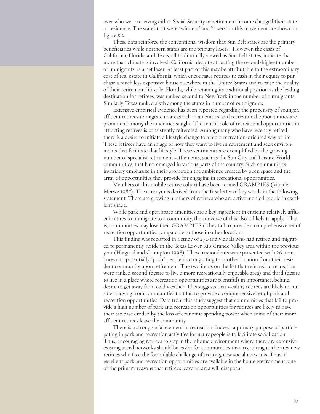over who were receiving either Social Security or retirement income changed their state of residence. The states that were "winners" and "losers" in this movement are shown in figure 5.2.

These data reinforce the conventional wisdom that Sun Belt states are the primary beneficiaries while northern states are the primary losers. However, the cases of California, Florida, and Texas, all traditionally viewed as Sun Belt states, indicate that more than climate is involved. California, despite attracting the second-highest number of immigrants, is a net loser. At least part of this may be attributable to the extraordinary cost of real estate in California, which encourages retirees to cash in their equity to purchase a much less expensive house elsewhere in the United States and to raise the quality of their retirement lifestyle. Florida, while retaining its traditional position as the leading destination for retirees, was ranked second to New York in the number of outmigrants. Similarly, Texas ranked sixth among the states in number of outmigrants.

Extensive empirical evidence has been reported regarding the propensity of younger, affluent retirees to migrate to areas rich in amenities, and recreational opportunities are prominent among the amenities sought. The central role of recreational opportunities in attracting retirees is consistently reiterated. Among many who have recently retired, there is a desire to initiate a lifestyle change to a more recreation-oriented way of life. These retirees have an image of how they want to live in retirement and seek environments that facilitate that lifestyle. These sentiments are exemplified by the growing number of specialist retirement settlements, such as the Sun City and Leisure World communities, that have emerged in various parts of the country. Such communities invariably emphasize in their promotion the ambience created by open space and the array of opportunities they provide for engaging in recreational opportunities.

Members of this mobile retiree cohort have been termed GRAMPIES (Van der Merwe 1987). The acronym is derived from the first letter of key words in the following statement: There are growing numbers of retirees who are active monied people in excellent shape.

While park and open space amenities are a key ingredient in enticing relatively affluent retires to immigrate to a community, the converse of this also is likely to apply. That is, communities may lose their GRAMPIES if they fail to provide a comprehensive set of recreation opportunities comparable to those in other locations.

This finding was reported in a study of 270 individuals who had retired and migrated to permanently reside in the Texas Lower Rio Grande Valley area within the previous year (Haigood and Crompton 1998). These respondents were presented with 26 items known to potentially "push" people into migrating to another location from their resident community upon retirement. The two items on the list that referred to recreation were ranked second (desire to live a more recreationally enjoyable area) and third (desire to live in a place where recreation opportunities are plentiful) in importance, behind desire to get away from cold weather. This suggests that wealthy retirees are likely to consider moving from communities that fail to provide a comprehensive set of park and recreation opportunities. Data from this study suggest that communities that fail to provide a high number of park and recreation opportunities for retirees are likely to have their tax base eroded by the loss of economic spending power when some of their more affluent retirees leave the community.

There is a strong social element in recreation. Indeed, a primary purpose of participating in park and recreation activities for many people is to facilitate socialization. Thus, encouraging retirees to stay in their home environment where there are extensive existing social networks should be easier for communities than recruiting to the area new retirees who face the formidable challenge of creating new social networks. Thus, if excellent park and recreation opportunities are available in the home environment, one of the primary reasons that retirees leave an area will disappear.